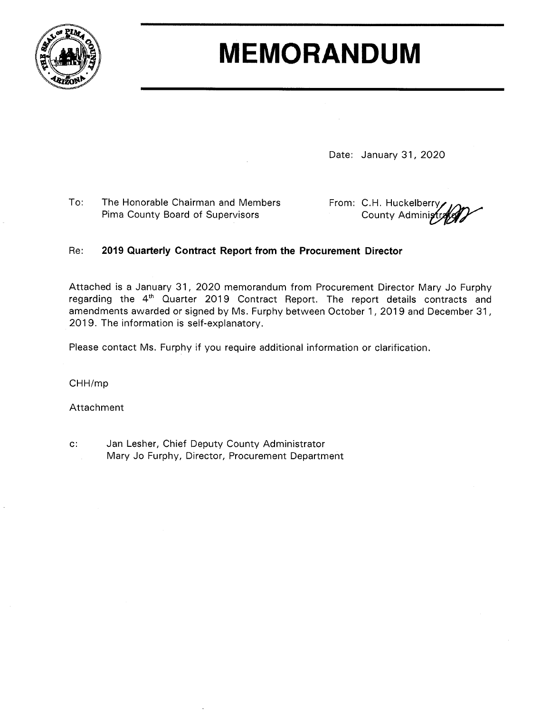

# **MEMORANDUM**

Date: January 31, 2020

 $To:$ The Honorable Chairman and Members Pima County Board of Supervisors

From: C.H. Huckelberry County Administ

#### 2019 Quarterly Contract Report from the Procurement Director Re:

Attached is a January 31, 2020 memorandum from Procurement Director Mary Jo Furphy regarding the 4<sup>th</sup> Quarter 2019 Contract Report. The report details contracts and amendments awarded or signed by Ms. Furphy between October 1, 2019 and December 31, 2019. The information is self-explanatory.

Please contact Ms. Furphy if you require additional information or clarification.

CHH/mp

Attachment

Jan Lesher, Chief Deputy County Administrator  $c$ : Mary Jo Furphy, Director, Procurement Department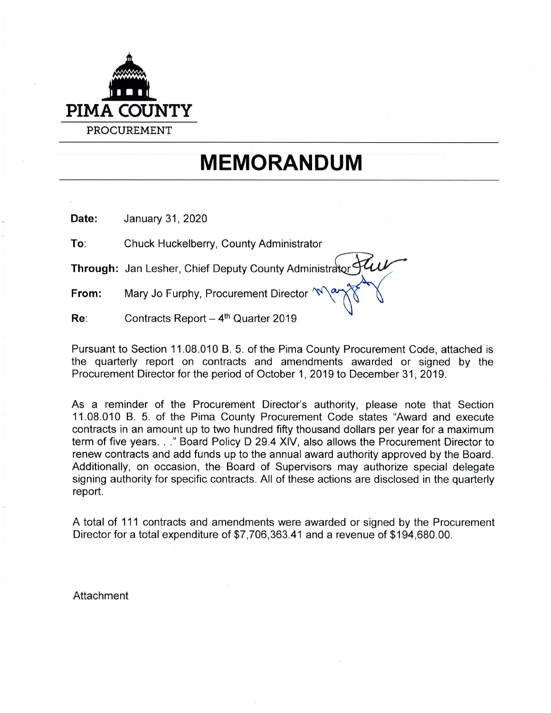

## **MEMORANDUM**

Date: January 31, 2020

To: Chuck Huckelberry, County Administrator

Through: Jan Lesher, Chief Deputy County Administrator

Mary Jo Furphy, Procurement Director From:

Re: Contracts Report - 4<sup>th</sup> Quarter 2019

Pursuant to Section 11.08.010 B. 5. of the Pima County Procurement Code, attached is the quarterly report on contracts and amendments awarded or signed by the Procurement Director for the period of October 1, 2019 to December 31, 2019.

As a reminder of the Procurement Director's authority, please note that Section 11.08.010 B. 5. of the Pima County Procurement Code states "Award and execute contracts in an amount up to two hundred fifty thousand dollars per year for a maximum term of five years. . ." Board Policy D 29.4 XIV, also allows the Procurement Director to renew contracts and add funds up to the annual award authority approved by the Board. Additionally, on occasion, the Board of Supervisors may authorize special delegate signing authority for specific contracts. All of these actions are disclosed in the quarterly report.

A total of 111 contracts and amendments were awarded or signed by the Procurement Director for a total expenditure of \$7,706,363.41 and a revenue of \$194,680.00.

Attachment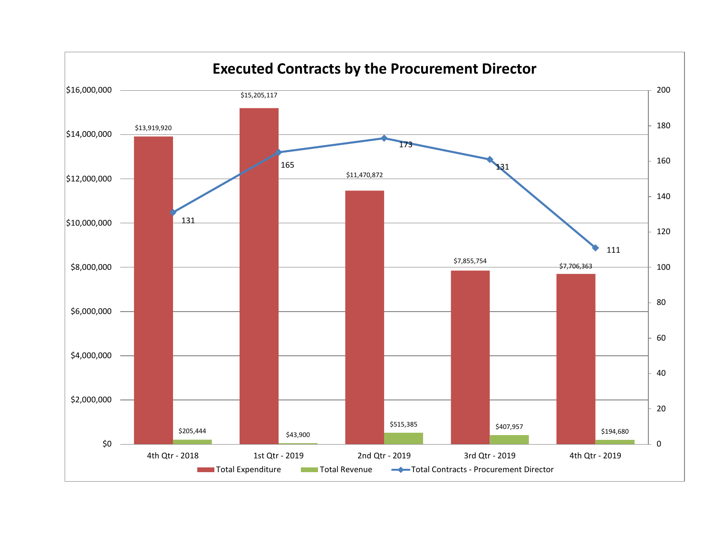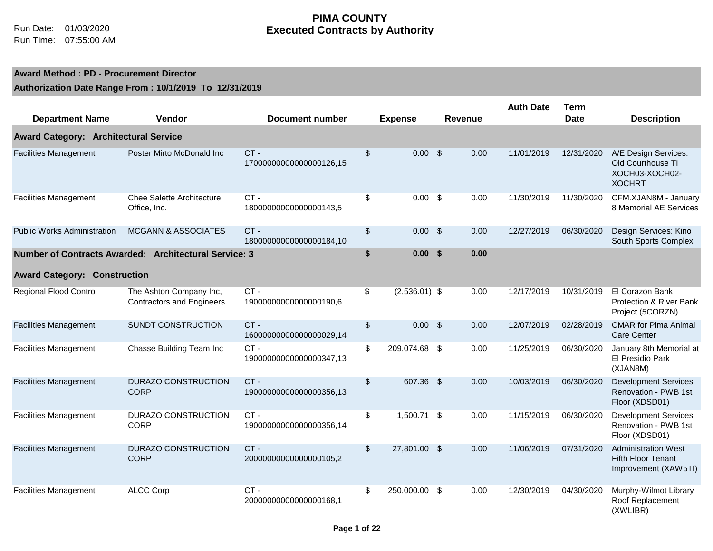#### **Award Method : PD - Procurement Director**

|                                              |                                                              |                                   |                       |                         |                | <b>Auth Date</b> | <b>Term</b> |                                                                                 |
|----------------------------------------------|--------------------------------------------------------------|-----------------------------------|-----------------------|-------------------------|----------------|------------------|-------------|---------------------------------------------------------------------------------|
| <b>Department Name</b>                       | <b>Vendor</b>                                                | Document number                   | <b>Expense</b>        |                         | <b>Revenue</b> |                  | <b>Date</b> | <b>Description</b>                                                              |
| <b>Award Category: Architectural Service</b> |                                                              |                                   |                       |                         |                |                  |             |                                                                                 |
| <b>Facilities Management</b>                 | Poster Mirto McDonald Inc                                    | CT-<br>17000000000000000126,15    | \$<br>$0.00$ \$       |                         | 0.00           | 11/01/2019       | 12/31/2020  | A/E Design Services:<br>Old Courthouse TI<br>XOCH03-XOCH02-<br><b>XOCHRT</b>    |
| <b>Facilities Management</b>                 | <b>Chee Salette Architecture</b><br>Office, Inc.             | CT-<br>1800000000000000143,5      | \$<br>$0.00$ \$       |                         | 0.00           | 11/30/2019       | 11/30/2020  | CFM.XJAN8M - January<br>8 Memorial AE Services                                  |
| <b>Public Works Administration</b>           | <b>MCGANN &amp; ASSOCIATES</b>                               | $CT -$<br>18000000000000000184,10 | \$<br>0.00            | \$                      | 0.00           | 12/27/2019       | 06/30/2020  | Design Services: Kino<br>South Sports Complex                                   |
|                                              | <b>Number of Contracts Awarded: Architectural Service: 3</b> |                                   | \$<br>0.00            | \$                      | 0.00           |                  |             |                                                                                 |
| <b>Award Category: Construction</b>          |                                                              |                                   |                       |                         |                |                  |             |                                                                                 |
| <b>Regional Flood Control</b>                | The Ashton Company Inc,<br><b>Contractors and Engineers</b>  | CT-<br>19000000000000000190,6     | \$<br>$(2,536.01)$ \$ |                         | 0.00           | 12/17/2019       | 10/31/2019  | El Corazon Bank<br><b>Protection &amp; River Bank</b><br>Project (5CORZN)       |
| <b>Facilities Management</b>                 | SUNDT CONSTRUCTION                                           | CT-<br>16000000000000000029,14    | \$<br>0.00            | $\sqrt[6]{\frac{1}{2}}$ | 0.00           | 12/07/2019       | 02/28/2019  | <b>CMAR</b> for Pima Animal<br><b>Care Center</b>                               |
| <b>Facilities Management</b>                 | Chasse Building Team Inc                                     | CT-<br>19000000000000000347,13    | \$<br>209,074.68 \$   |                         | 0.00           | 11/25/2019       | 06/30/2020  | January 8th Memorial at<br>El Presidio Park<br>(XJAN8M)                         |
| <b>Facilities Management</b>                 | <b>DURAZO CONSTRUCTION</b><br><b>CORP</b>                    | $CT -$<br>19000000000000000356,13 | \$<br>607.36 \$       |                         | 0.00           | 10/03/2019       | 06/30/2020  | <b>Development Services</b><br>Renovation - PWB 1st<br>Floor (XDSD01)           |
| <b>Facilities Management</b>                 | DURAZO CONSTRUCTION<br><b>CORP</b>                           | CT-<br>19000000000000000356,14    | \$<br>1,500.71 \$     |                         | 0.00           | 11/15/2019       | 06/30/2020  | <b>Development Services</b><br>Renovation - PWB 1st<br>Floor (XDSD01)           |
| <b>Facilities Management</b>                 | <b>DURAZO CONSTRUCTION</b><br><b>CORP</b>                    | $CT -$<br>2000000000000000105,2   | \$<br>27,801.00 \$    |                         | 0.00           | 11/06/2019       | 07/31/2020  | <b>Administration West</b><br><b>Fifth Floor Tenant</b><br>Improvement (XAW5TI) |
| <b>Facilities Management</b>                 | <b>ALCC Corp</b>                                             | CT-<br>2000000000000000168,1      | \$<br>250,000.00 \$   |                         | 0.00           | 12/30/2019       | 04/30/2020  | Murphy-Wilmot Library<br>Roof Replacement<br>(XWLIBR)                           |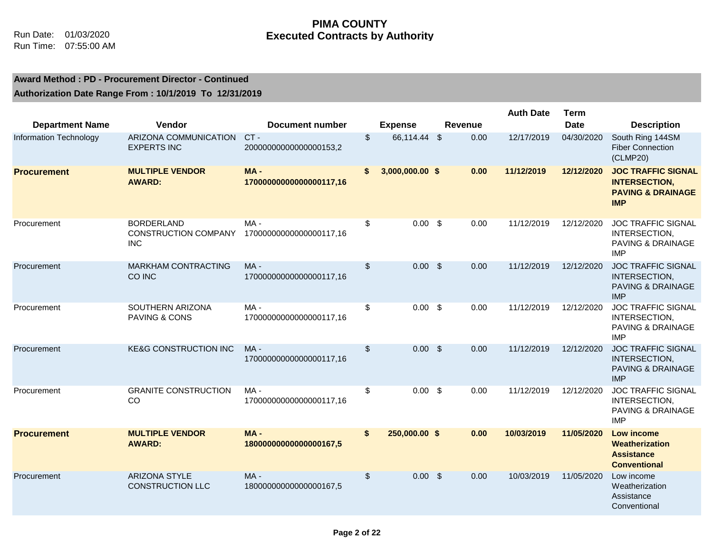|                               |                                                                |                                   |                           |                   |         | <b>Auth Date</b> | <b>Term</b> |                                                                                                 |
|-------------------------------|----------------------------------------------------------------|-----------------------------------|---------------------------|-------------------|---------|------------------|-------------|-------------------------------------------------------------------------------------------------|
| <b>Department Name</b>        | Vendor                                                         | <b>Document number</b>            |                           | <b>Expense</b>    | Revenue |                  | <b>Date</b> | <b>Description</b>                                                                              |
| <b>Information Technology</b> | ARIZONA COMMUNICATION<br><b>EXPERTS INC</b>                    | CT-<br>20000000000000000153,2     | \$                        | 66,114.44 \$      | 0.00    | 12/17/2019       | 04/30/2020  | South Ring 144SM<br><b>Fiber Connection</b><br>(CLMP20)                                         |
| <b>Procurement</b>            | <b>MULTIPLE VENDOR</b><br><b>AWARD:</b>                        | MA-<br>17000000000000000117,16    | \$                        | 3,000,000.00 \$   | 0.00    | 11/12/2019       | 12/12/2020  | <b>JOC TRAFFIC SIGNAL</b><br><b>INTERSECTION,</b><br><b>PAVING &amp; DRAINAGE</b><br><b>IMP</b> |
| Procurement                   | <b>BORDERLAND</b><br><b>CONSTRUCTION COMPANY</b><br><b>INC</b> | MA -<br>17000000000000000117,16   | \$                        | $0.00$ \$         | 0.00    | 11/12/2019       | 12/12/2020  | <b>JOC TRAFFIC SIGNAL</b><br>INTERSECTION,<br>PAVING & DRAINAGE<br><b>IMP</b>                   |
| Procurement                   | <b>MARKHAM CONTRACTING</b><br>CO INC                           | $MA -$<br>17000000000000000117,16 | $\boldsymbol{\mathsf{S}}$ | $0.00\  \  \,$ \$ | 0.00    | 11/12/2019       | 12/12/2020  | <b>JOC TRAFFIC SIGNAL</b><br>INTERSECTION,<br>PAVING & DRAINAGE<br><b>IMP</b>                   |
| Procurement                   | SOUTHERN ARIZONA<br>PAVING & CONS                              | MA-<br>17000000000000000117,16    | \$                        | $0.00$ \$         | 0.00    | 11/12/2019       | 12/12/2020  | <b>JOC TRAFFIC SIGNAL</b><br>INTERSECTION,<br>PAVING & DRAINAGE<br><b>IMP</b>                   |
| Procurement                   | <b>KE&amp;G CONSTRUCTION INC</b>                               | $MA -$<br>17000000000000000117,16 | $\sqrt[6]{\frac{1}{2}}$   | $0.00$ \$         | 0.00    | 11/12/2019       | 12/12/2020  | <b>JOC TRAFFIC SIGNAL</b><br>INTERSECTION,<br><b>PAVING &amp; DRAINAGE</b><br><b>IMP</b>        |
| Procurement                   | <b>GRANITE CONSTRUCTION</b><br>CO                              | $MA -$<br>17000000000000000117,16 | \$                        | 0.00 S            | 0.00    | 11/12/2019       | 12/12/2020  | <b>JOC TRAFFIC SIGNAL</b><br>INTERSECTION,<br>PAVING & DRAINAGE<br><b>IMP</b>                   |
| <b>Procurement</b>            | <b>MULTIPLE VENDOR</b><br><b>AWARD:</b>                        | $MA -$<br>18000000000000000167,5  | \$                        | 250,000.00 \$     | 0.00    | 10/03/2019       | 11/05/2020  | <b>Low income</b><br>Weatherization<br><b>Assistance</b><br><b>Conventional</b>                 |
| Procurement                   | <b>ARIZONA STYLE</b><br><b>CONSTRUCTION LLC</b>                | $MA -$<br>18000000000000000167,5  | $\boldsymbol{\mathsf{S}}$ | $0.00\  \  \,$ \$ | 0.00    | 10/03/2019       | 11/05/2020  | Low income<br>Weatherization<br>Assistance<br>Conventional                                      |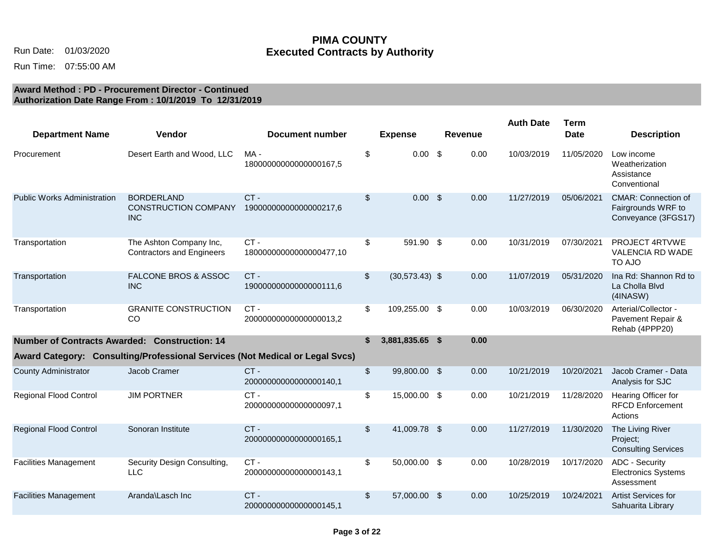Run Time: 07:55:00 AM

| <b>Department Name</b>                               | <b>Vendor</b>                                               | <b>Document number</b>                                                       | <b>Expense</b>         |     | <b>Revenue</b> | <b>Auth Date</b> | <b>Term</b><br><b>Date</b> | <b>Description</b>                                                      |
|------------------------------------------------------|-------------------------------------------------------------|------------------------------------------------------------------------------|------------------------|-----|----------------|------------------|----------------------------|-------------------------------------------------------------------------|
| Procurement                                          | Desert Earth and Wood, LLC                                  | MA-<br>1800000000000000167,5                                                 | \$<br>0.00             | -\$ | 0.00           | 10/03/2019       | 11/05/2020                 | Low income<br>Weatherization<br>Assistance<br>Conventional              |
| <b>Public Works Administration</b>                   | <b>BORDERLAND</b><br>CONSTRUCTION COMPANY<br><b>INC</b>     | $CT -$<br>19000000000000000217,6                                             | \$<br>$0.00$ \$        |     | 0.00           | 11/27/2019       | 05/06/2021                 | <b>CMAR: Connection of</b><br>Fairgrounds WRF to<br>Conveyance (3FGS17) |
| Transportation                                       | The Ashton Company Inc,<br><b>Contractors and Engineers</b> | $CT -$<br>18000000000000000477,10                                            | \$<br>591.90 \$        |     | 0.00           | 10/31/2019       | 07/30/2021                 | PROJECT 4RTVWE<br>VALENCIA RD WADE<br>TO AJO                            |
| Transportation                                       | <b>FALCONE BROS &amp; ASSOC</b><br><b>INC</b>               | CT-<br>19000000000000000111,6                                                | \$<br>$(30,573.43)$ \$ |     | 0.00           | 11/07/2019       | 05/31/2020                 | Ina Rd: Shannon Rd to<br>La Cholla Blvd<br>(4INASW)                     |
| Transportation                                       | <b>GRANITE CONSTRUCTION</b><br>CO                           | $CT -$<br>20000000000000000013.2                                             | \$<br>109,255.00 \$    |     | 0.00           | 10/03/2019       | 06/30/2020                 | Arterial/Collector -<br>Pavement Repair &<br>Rehab (4PPP20)             |
| <b>Number of Contracts Awarded: Construction: 14</b> |                                                             |                                                                              | \$<br>3,881,835.65 \$  |     | 0.00           |                  |                            |                                                                         |
|                                                      |                                                             | Award Category: Consulting/Professional Services (Not Medical or Legal Svcs) |                        |     |                |                  |                            |                                                                         |
| <b>County Administrator</b>                          | Jacob Cramer                                                | CT-<br>2000000000000000140,1                                                 | \$<br>99,800.00 \$     |     | 0.00           | 10/21/2019       | 10/20/2021                 | Jacob Cramer - Data<br>Analysis for SJC                                 |
| <b>Regional Flood Control</b>                        | <b>JIM PORTNER</b>                                          | CT-<br>20000000000000000097,1                                                | \$<br>15,000.00 \$     |     | 0.00           | 10/21/2019       | 11/28/2020                 | Hearing Officer for<br><b>RFCD Enforcement</b><br>Actions               |
| <b>Regional Flood Control</b>                        | Sonoran Institute                                           | $CT -$<br>2000000000000000165,1                                              | \$<br>41,009.78 \$     |     | 0.00           | 11/27/2019       | 11/30/2020                 | The Living River<br>Project;<br><b>Consulting Services</b>              |
| <b>Facilities Management</b>                         | Security Design Consulting,<br><b>LLC</b>                   | $CT -$<br>2000000000000000143,1                                              | \$<br>50,000.00 \$     |     | 0.00           | 10/28/2019       | 10/17/2020                 | ADC - Security<br><b>Electronics Systems</b><br>Assessment              |
| <b>Facilities Management</b>                         | Aranda\Lasch Inc                                            | CT-<br>2000000000000000145,1                                                 | \$<br>57,000.00 \$     |     | 0.00           | 10/25/2019       | 10/24/2021                 | Artist Services for<br>Sahuarita Library                                |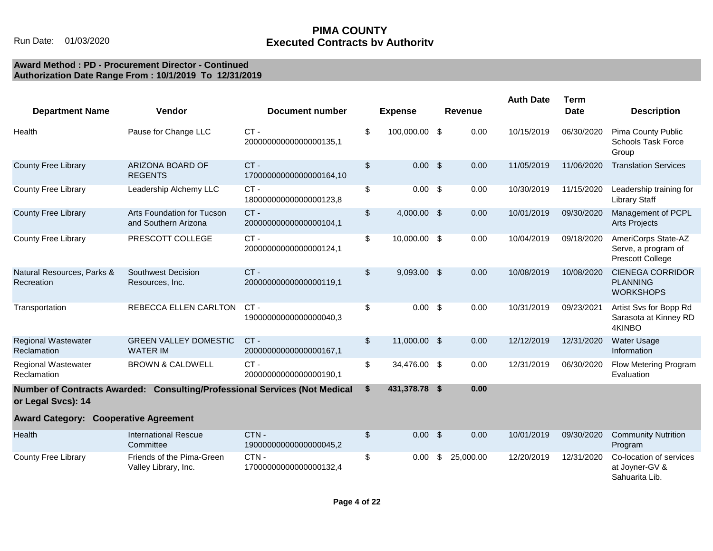Run Date: 01/03/2020

#### **PIMA COUNTY Executed Contracts by Authority**

| <b>Department Name</b>                       | <b>Vendor</b>                                                              | Document number                   | <b>Expense</b>      | <b>Revenue</b>  | <b>Auth Date</b> | <b>Term</b><br><b>Date</b> | <b>Description</b>                                                    |
|----------------------------------------------|----------------------------------------------------------------------------|-----------------------------------|---------------------|-----------------|------------------|----------------------------|-----------------------------------------------------------------------|
| Health                                       | Pause for Change LLC                                                       | CT-<br>2000000000000000135,1      | \$<br>100,000.00 \$ | 0.00            | 10/15/2019       | 06/30/2020                 | Pima County Public<br><b>Schools Task Force</b><br>Group              |
| <b>County Free Library</b>                   | ARIZONA BOARD OF<br><b>REGENTS</b>                                         | $CT -$<br>17000000000000000164,10 | \$<br>$0.00\ 3$     | 0.00            | 11/05/2019       | 11/06/2020                 | <b>Translation Services</b>                                           |
| <b>County Free Library</b>                   | Leadership Alchemy LLC                                                     | $CT -$<br>18000000000000000123,8  | \$<br>$0.00\ 3$     | 0.00            | 10/30/2019       | 11/15/2020                 | Leadership training for<br><b>Library Staff</b>                       |
| <b>County Free Library</b>                   | Arts Foundation for Tucson<br>and Southern Arizona                         | CT-<br>20000000000000000104,1     | \$<br>4,000.00 \$   | 0.00            | 10/01/2019       | 09/30/2020                 | Management of PCPL<br><b>Arts Projects</b>                            |
| County Free Library                          | PRESCOTT COLLEGE                                                           | CT-<br>2000000000000000124,1      | \$<br>10,000.00 \$  | 0.00            | 10/04/2019       | 09/18/2020                 | AmeriCorps State-AZ<br>Serve, a program of<br><b>Prescott College</b> |
| Natural Resources, Parks &<br>Recreation     | Southwest Decision<br>Resources, Inc.                                      | $CT -$<br>20000000000000000119,1  | \$<br>$9,093.00$ \$ | 0.00            | 10/08/2019       | 10/08/2020                 | <b>CIENEGA CORRIDOR</b><br><b>PLANNING</b><br><b>WORKSHOPS</b>        |
| Transportation                               | REBECCA ELLEN CARLTON                                                      | $CT -$<br>19000000000000000040,3  | \$<br>$0.00\ 3$     | 0.00            | 10/31/2019       | 09/23/2021                 | Artist Svs for Bopp Rd<br>Sarasota at Kinney RD<br>4KINBO             |
| <b>Regional Wastewater</b><br>Reclamation    | <b>GREEN VALLEY DOMESTIC</b><br><b>WATER IM</b>                            | $CT -$<br>20000000000000000167,1  | \$<br>11,000.00 \$  | 0.00            | 12/12/2019       | 12/31/2020                 | <b>Water Usage</b><br>Information                                     |
| <b>Regional Wastewater</b><br>Reclamation    | <b>BROWN &amp; CALDWELL</b>                                                | CT-<br>2000000000000000190,1      | \$<br>34,476.00 \$  | 0.00            | 12/31/2019       | 06/30/2020                 | Flow Metering Program<br>Evaluation                                   |
| or Legal Svcs): 14                           | Number of Contracts Awarded: Consulting/Professional Services (Not Medical |                                   | \$<br>431,378.78 \$ | 0.00            |                  |                            |                                                                       |
| <b>Award Category: Cooperative Agreement</b> |                                                                            |                                   |                     |                 |                  |                            |                                                                       |
| Health                                       | <b>International Rescue</b><br>Committee                                   | CTN-<br>19000000000000000045,2    | \$<br>$0.00$ \$     | 0.00            | 10/01/2019       | 09/30/2020                 | <b>Community Nutrition</b><br>Program                                 |
| <b>County Free Library</b>                   | Friends of the Pima-Green<br>Valley Library, Inc.                          | CTN-<br>17000000000000000132,4    | \$<br>0.00          | \$<br>25,000.00 | 12/20/2019       | 12/31/2020                 | Co-location of services<br>at Joyner-GV &<br>Sahuarita Lib.           |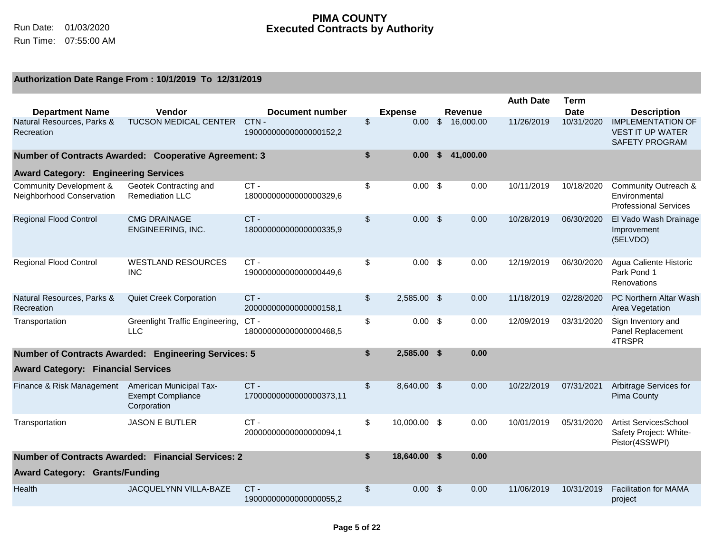#### **PIMA COUNTY** Run Date: 01/03/2020 **Executed Contracts by Authority**

|                                                                    |                                                                    |                                                          |                                           |               |                      | <b>Auth Date</b> | <b>Term</b>               |                                                                                                    |
|--------------------------------------------------------------------|--------------------------------------------------------------------|----------------------------------------------------------|-------------------------------------------|---------------|----------------------|------------------|---------------------------|----------------------------------------------------------------------------------------------------|
| <b>Department Name</b><br>Natural Resources, Parks &<br>Recreation | Vendor<br><b>TUCSON MEDICAL CENTER</b>                             | <b>Document number</b><br>CTN-<br>19000000000000000152,2 | \$<br><b>Expense</b><br>0.00 <sub>1</sub> | $\sqrt[6]{2}$ | Revenue<br>16,000.00 | 11/26/2019       | <b>Date</b><br>10/31/2020 | <b>Description</b><br><b>IMPLEMENTATION OF</b><br><b>VEST IT UP WATER</b><br><b>SAFETY PROGRAM</b> |
|                                                                    | Number of Contracts Awarded: Cooperative Agreement: 3              |                                                          | \$<br>0.00                                | Ŝ.            | 41.000.00            |                  |                           |                                                                                                    |
| <b>Award Category: Engineering Services</b>                        |                                                                    |                                                          |                                           |               |                      |                  |                           |                                                                                                    |
| <b>Community Development &amp;</b><br>Neighborhood Conservation    | Geotek Contracting and<br><b>Remediation LLC</b>                   | $CT -$<br>18000000000000000329,6                         | \$<br>$0.00 \,$ \$                        |               | 0.00                 | 10/11/2019       | 10/18/2020                | Community Outreach &<br>Environmental<br><b>Professional Services</b>                              |
| <b>Regional Flood Control</b>                                      | <b>CMG DRAINAGE</b><br>ENGINEERING, INC.                           | $CT -$<br>18000000000000000335,9                         | \$<br>$0.00\  \  \,$ \$                   |               | 0.00                 | 10/28/2019       | 06/30/2020                | El Vado Wash Drainage<br>Improvement<br>(5ELVDO)                                                   |
| <b>Regional Flood Control</b>                                      | <b>WESTLAND RESOURCES</b><br><b>INC</b>                            | CT-<br>19000000000000000449,6                            | \$<br>$0.00\  \  \,$ \$                   |               | 0.00                 | 12/19/2019       | 06/30/2020                | Agua Caliente Historic<br>Park Pond 1<br>Renovations                                               |
| Natural Resources, Parks &<br>Recreation                           | Quiet Creek Corporation                                            | $CT -$<br>20000000000000000158,1                         | \$<br>2.585.00 \$                         |               | 0.00                 | 11/18/2019       | 02/28/2020                | <b>PC Northern Altar Wash</b><br>Area Vegetation                                                   |
| Transportation                                                     | Greenlight Traffic Engineering,<br><b>LLC</b>                      | CT-<br>18000000000000000468,5                            | \$<br>$0.00$ \$                           |               | 0.00                 | 12/09/2019       | 03/31/2020                | Sign Inventory and<br>Panel Replacement<br>4TRSPR                                                  |
|                                                                    | Number of Contracts Awarded: Engineering Services: 5               |                                                          | \$<br>2,585.00 \$                         |               | 0.00                 |                  |                           |                                                                                                    |
| <b>Award Category: Financial Services</b>                          |                                                                    |                                                          |                                           |               |                      |                  |                           |                                                                                                    |
| Finance & Risk Management                                          | American Municipal Tax-<br><b>Exempt Compliance</b><br>Corporation | $CT -$<br>17000000000000000373,11                        | \$<br>8,640.00 \$                         |               | 0.00                 | 10/22/2019       | 07/31/2021                | Arbitrage Services for<br>Pima County                                                              |
| Transportation                                                     | <b>JASON E BUTLER</b>                                              | $CT -$<br>2000000000000000094,1                          | \$<br>10,000.00 \$                        |               | 0.00                 | 10/01/2019       | 05/31/2020                | Artist ServicesSchool<br>Safety Project: White-<br>Pistor(4SSWPI)                                  |
|                                                                    | <b>Number of Contracts Awarded: Financial Services: 2</b>          |                                                          | \$<br>18,640.00 \$                        |               | 0.00                 |                  |                           |                                                                                                    |
| <b>Award Category: Grants/Funding</b>                              |                                                                    |                                                          |                                           |               |                      |                  |                           |                                                                                                    |
| Health                                                             | JACQUELYNN VILLA-BAZE                                              | $CT -$<br>19000000000000000055,2                         | \$<br>0.00                                | \$            | 0.00                 | 11/06/2019       | 10/31/2019                | <b>Facilitation for MAMA</b><br>project                                                            |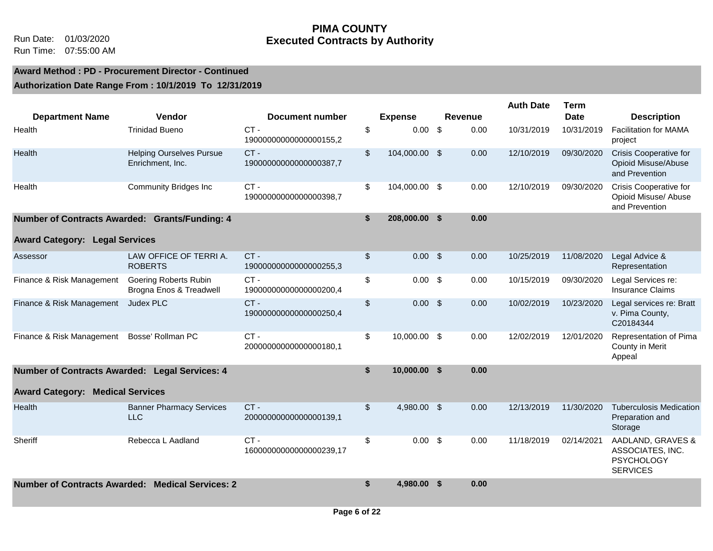|                                                |                                                     |                                   |                     |                | <b>Auth Date</b> | <b>Term</b> |                                                                               |
|------------------------------------------------|-----------------------------------------------------|-----------------------------------|---------------------|----------------|------------------|-------------|-------------------------------------------------------------------------------|
| <b>Department Name</b>                         | <b>Vendor</b>                                       | <b>Document number</b>            | <b>Expense</b>      | <b>Revenue</b> |                  | <b>Date</b> | <b>Description</b>                                                            |
| Health                                         | <b>Trinidad Bueno</b>                               | CT-<br>1900000000000000155,2      | \$<br>$0.00$ \$     | 0.00           | 10/31/2019       | 10/31/2019  | <b>Facilitation for MAMA</b><br>project                                       |
| Health                                         | <b>Helping Ourselves Pursue</b><br>Enrichment, Inc. | CT-<br>19000000000000000387,7     | \$<br>104,000.00 \$ | 0.00           | 12/10/2019       | 09/30/2020  | <b>Crisis Cooperative for</b><br>Opioid Misuse/Abuse<br>and Prevention        |
| Health                                         | <b>Community Bridges Inc</b>                        | $CT -$<br>19000000000000000398,7  | \$<br>104,000.00 \$ | 0.00           | 12/10/2019       | 09/30/2020  | Crisis Cooperative for<br>Opioid Misuse/ Abuse<br>and Prevention              |
| Number of Contracts Awarded: Grants/Funding: 4 |                                                     |                                   | \$<br>208,000.00 \$ | 0.00           |                  |             |                                                                               |
| <b>Award Category: Legal Services</b>          |                                                     |                                   |                     |                |                  |             |                                                                               |
| Assessor                                       | LAW OFFICE OF TERRI A.<br><b>ROBERTS</b>            | CT-<br>19000000000000000255,3     | \$<br>$0.00$ \$     | 0.00           | 10/25/2019       | 11/08/2020  | Legal Advice &<br>Representation                                              |
| Finance & Risk Management                      | Goering Roberts Rubin<br>Brogna Enos & Treadwell    | CT-<br>19000000000000000200,4     | \$<br>$0.00$ \$     | 0.00           | 10/15/2019       | 09/30/2020  | Legal Services re:<br><b>Insurance Claims</b>                                 |
| Finance & Risk Management                      | Judex PLC                                           | CT-<br>1900000000000000250,4      | \$<br>$0.00\ 3$     | 0.00           | 10/02/2019       | 10/23/2020  | Legal services re: Bratt<br>v. Pima County,<br>C20184344                      |
| Finance & Risk Management                      | Bosse' Rollman PC                                   | CT-<br>2000000000000000180,1      | \$<br>10,000.00 \$  | 0.00           | 12/02/2019       | 12/01/2020  | Representation of Pima<br>County in Merit<br>Appeal                           |
| Number of Contracts Awarded: Legal Services: 4 |                                                     |                                   | \$<br>10,000.00 \$  | 0.00           |                  |             |                                                                               |
| <b>Award Category: Medical Services</b>        |                                                     |                                   |                     |                |                  |             |                                                                               |
| Health                                         | <b>Banner Pharmacy Services</b><br><b>LLC</b>       | CT-<br>20000000000000000139,1     | \$<br>4,980.00 \$   | 0.00           | 12/13/2019       | 11/30/2020  | <b>Tuberculosis Medication</b><br>Preparation and<br>Storage                  |
| Sheriff                                        | Rebecca L Aadland                                   | $CT -$<br>16000000000000000239,17 | \$<br>$0.00$ \$     | 0.00           | 11/18/2019       | 02/14/2021  | AADLAND, GRAVES &<br>ASSOCIATES, INC.<br><b>PSYCHOLOGY</b><br><b>SERVICES</b> |
|                                                | Number of Contracts Awarded: Medical Services: 2    |                                   | \$<br>4,980.00 \$   | 0.00           |                  |             |                                                                               |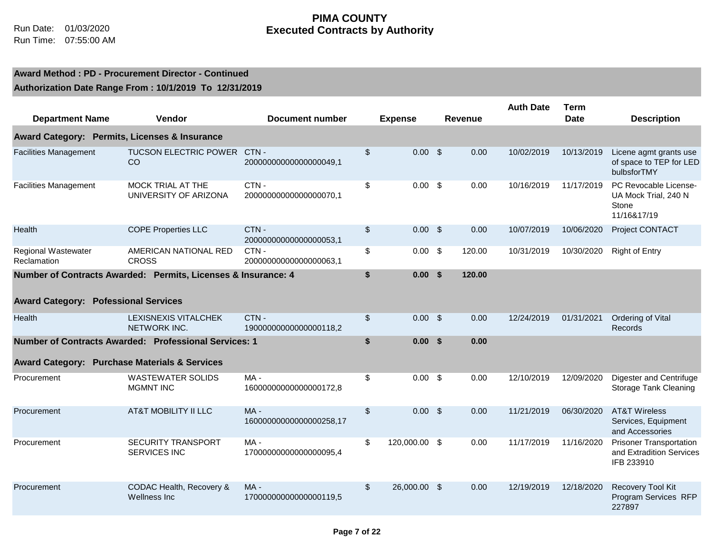|                                                          |                                                               |                                   |                         |    |                | <b>Auth Date</b> | <b>Term</b> |                                                                          |
|----------------------------------------------------------|---------------------------------------------------------------|-----------------------------------|-------------------------|----|----------------|------------------|-------------|--------------------------------------------------------------------------|
| <b>Department Name</b>                                   | Vendor                                                        | <b>Document number</b>            | <b>Expense</b>          |    | <b>Revenue</b> |                  | <b>Date</b> | <b>Description</b>                                                       |
| Award Category: Permits, Licenses & Insurance            |                                                               |                                   |                         |    |                |                  |             |                                                                          |
| <b>Facilities Management</b>                             | TUCSON ELECTRIC POWER CTN -<br>CO                             | 2000000000000000049,1             | \$<br>$0.00$ \$         |    | 0.00           | 10/02/2019       | 10/13/2019  | Licene agmt grants use<br>of space to TEP for LED<br>bulbsforTMY         |
| <b>Facilities Management</b>                             | MOCK TRIAL AT THE<br>UNIVERSITY OF ARIZONA                    | CTN-<br>2000000000000000070,1     | \$<br>$0.00\  \  \,$ \$ |    | 0.00           | 10/16/2019       | 11/17/2019  | PC Revocable License-<br>UA Mock Trial, 240 N<br>Stone<br>11/16&17/19    |
| Health                                                   | <b>COPE Properties LLC</b>                                    | CTN-<br>20000000000000000053,1    | \$<br>$0.00$ \$         |    | 0.00           | 10/07/2019       | 10/06/2020  | Project CONTACT                                                          |
| <b>Regional Wastewater</b><br>Reclamation                | AMERICAN NATIONAL RED<br><b>CROSS</b>                         | CTN-<br>20000000000000000063,1    | \$<br>$0.00$ \$         |    | 120.00         | 10/31/2019       | 10/30/2020  | <b>Right of Entry</b>                                                    |
|                                                          | Number of Contracts Awarded: Permits, Licenses & Insurance: 4 |                                   | \$<br>0.00              | Ŝ. | 120.00         |                  |             |                                                                          |
| <b>Award Category:</b>                                   | <b>Pofessional Services</b>                                   |                                   |                         |    |                |                  |             |                                                                          |
| Health                                                   | LEXISNEXIS VITALCHEK<br>NETWORK INC.                          | CTN-<br>19000000000000000118,2    | \$<br>$0.00$ \$         |    | 0.00           | 12/24/2019       | 01/31/2021  | Ordering of Vital<br>Records                                             |
|                                                          | <b>Number of Contracts Awarded: Professional Services: 1</b>  |                                   | \$<br>0.00              | Ŝ. | 0.00           |                  |             |                                                                          |
| <b>Award Category: Purchase Materials &amp; Services</b> |                                                               |                                   |                         |    |                |                  |             |                                                                          |
| Procurement                                              | <b>WASTEWATER SOLIDS</b><br><b>MGMNT INC</b>                  | $MA -$<br>1600000000000000172,8   | \$<br>$0.00\ 3$         |    | 0.00           | 12/10/2019       | 12/09/2020  | Digester and Centrifuge<br><b>Storage Tank Cleaning</b>                  |
| Procurement                                              | <b>AT&amp;T MOBILITY II LLC</b>                               | $MA -$<br>16000000000000000258,17 | \$<br>0.00              | \$ | 0.00           | 11/21/2019       | 06/30/2020  | <b>AT&amp;T Wireless</b><br>Services, Equipment<br>and Accessories       |
| Procurement                                              | <b>SECURITY TRANSPORT</b><br><b>SERVICES INC</b>              | MA-<br>17000000000000000095,4     | \$<br>120,000.00 \$     |    | 0.00           | 11/17/2019       | 11/16/2020  | <b>Prisoner Transportation</b><br>and Extradition Services<br>IFB 233910 |
| Procurement                                              | CODAC Health, Recovery &<br>Wellness Inc                      | $MA -$<br>17000000000000000119,5  | \$<br>26,000.00 \$      |    | 0.00           | 12/19/2019       | 12/18/2020  | Recovery Tool Kit<br>Program Services RFP<br>227897                      |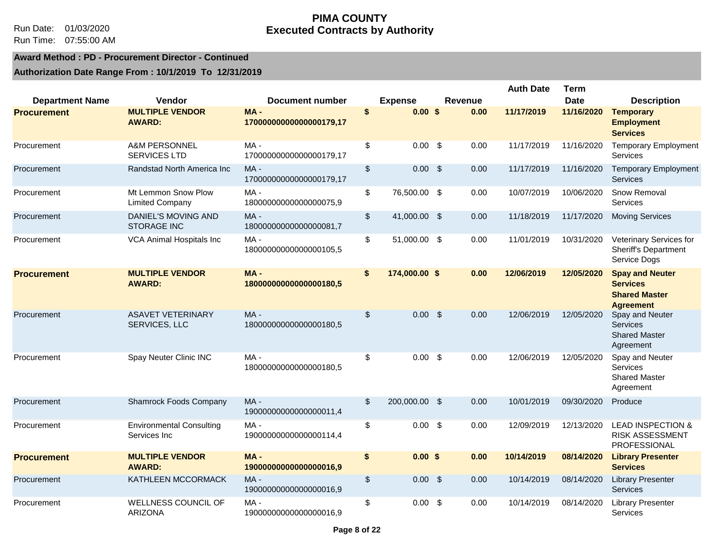#### **PIMA COUNTY** Run Date: 01/03/2020 **Executed Contracts by Authority**

#### **Award Method : PD - Procurement Director - Continued**

| <b>Department Name</b> | <b>Vendor</b>                                    | Document number                   |                           | <b>Expense</b> |                    | <b>Revenue</b> | <b>Auth Date</b> | <b>Term</b><br><b>Date</b> | <b>Description</b>                                                                    |
|------------------------|--------------------------------------------------|-----------------------------------|---------------------------|----------------|--------------------|----------------|------------------|----------------------------|---------------------------------------------------------------------------------------|
| <b>Procurement</b>     | <b>MULTIPLE VENDOR</b><br><b>AWARD:</b>          | MA-<br>17000000000000000179,17    | \$                        | 0.00%          |                    | 0.00           | 11/17/2019       | 11/16/2020                 | <b>Temporary</b><br><b>Employment</b><br><b>Services</b>                              |
| Procurement            | <b>A&amp;M PERSONNEL</b><br><b>SERVICES LTD</b>  | $MA -$<br>17000000000000000179,17 | $\sqrt[6]{\frac{1}{2}}$   | 0.00           | -\$                | 0.00           | 11/17/2019       | 11/16/2020                 | <b>Temporary Employment</b><br>Services                                               |
| Procurement            | Randstad North America Inc                       | $MA -$<br>17000000000000000179,17 | $\$\$                     | 0.00           | -\$                | 0.00           | 11/17/2019       | 11/16/2020                 | <b>Temporary Employment</b><br>Services                                               |
| Procurement            | Mt Lemmon Snow Plow<br><b>Limited Company</b>    | MA-<br>18000000000000000075,9     | $\boldsymbol{\mathsf{S}}$ | 76,500.00 \$   |                    | 0.00           | 10/07/2019       | 10/06/2020                 | Snow Removal<br>Services                                                              |
| Procurement            | <b>DANIEL'S MOVING AND</b><br><b>STORAGE INC</b> | $MA -$<br>18000000000000000081,7  | $\sqrt[6]{\frac{1}{2}}$   | 41,000.00 \$   |                    | 0.00           | 11/18/2019       | 11/17/2020                 | <b>Moving Services</b>                                                                |
| Procurement            | VCA Animal Hospitals Inc                         | MA-<br>18000000000000000105,5     | $\mathbb{S}$              | 51,000.00 \$   |                    | 0.00           | 11/01/2019       | 10/31/2020                 | Veterinary Services for<br><b>Sheriff's Department</b><br>Service Dogs                |
| <b>Procurement</b>     | <b>MULTIPLE VENDOR</b><br><b>AWARD:</b>          | $MA -$<br>18000000000000000180,5  | \$                        | 174,000.00 \$  |                    | 0.00           | 12/06/2019       | 12/05/2020                 | <b>Spay and Neuter</b><br><b>Services</b><br><b>Shared Master</b><br><b>Agreement</b> |
| Procurement            | <b>ASAVET VETERINARY</b><br>SERVICES, LLC        | $MA -$<br>18000000000000000180,5  | $\boldsymbol{\mathsf{S}}$ | 0.00           | $\mathfrak{s}$     | 0.00           | 12/06/2019       | 12/05/2020                 | Spay and Neuter<br>Services<br><b>Shared Master</b><br>Agreement                      |
| Procurement            | Spay Neuter Clinic INC                           | $MA -$<br>18000000000000000180.5  | $\sqrt[6]{\frac{1}{2}}$   | $0.00\ 3$      |                    | 0.00           | 12/06/2019       | 12/05/2020                 | Spay and Neuter<br><b>Services</b><br><b>Shared Master</b><br>Agreement               |
| Procurement            | <b>Shamrock Foods Company</b>                    | $MA -$<br>19000000000000000011,4  | $\boldsymbol{\mathsf{S}}$ | 200,000.00 \$  |                    | 0.00           | 10/01/2019       | 09/30/2020                 | Produce                                                                               |
| Procurement            | <b>Environmental Consulting</b><br>Services Inc  | $MA -$<br>19000000000000000114,4  | $\sqrt[6]{\frac{1}{2}}$   | 0.00           | $\mathbf{\hat{S}}$ | 0.00           | 12/09/2019       | 12/13/2020                 | <b>LEAD INSPECTION &amp;</b><br><b>RISK ASSESSMENT</b><br>PROFESSIONAL                |
| <b>Procurement</b>     | <b>MULTIPLE VENDOR</b><br><b>AWARD:</b>          | $MA -$<br>19000000000000000016,9  | \$                        | $0.00$ \$      |                    | 0.00           | 10/14/2019       | 08/14/2020                 | <b>Library Presenter</b><br><b>Services</b>                                           |
| Procurement            | KATHLEEN MCCORMACK                               | MA-<br>19000000000000000016,9     | \$                        | 0.00           | -\$                | 0.00           | 10/14/2019       | 08/14/2020                 | <b>Library Presenter</b><br>Services                                                  |
| Procurement            | WELLNESS COUNCIL OF<br>ARIZONA                   | MA-<br>19000000000000000016,9     | \$                        | 0.00           | -\$                | 0.00           | 10/14/2019       | 08/14/2020                 | <b>Library Presenter</b><br>Services                                                  |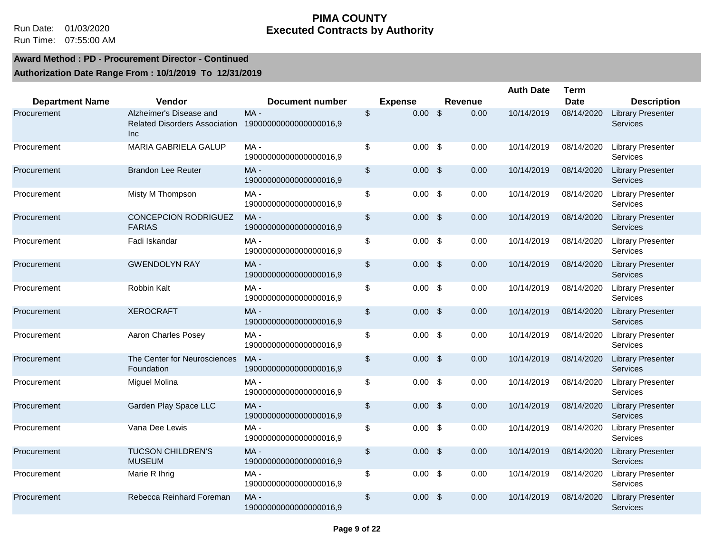#### **PIMA COUNTY** Run Date: 01/03/2020 **Executed Contracts by Authority**

#### **Award Method : PD - Procurement Director - Continued**

|                        |                                                                        |                                  |                           |                   |                    |                | <b>Auth Date</b> | <b>Term</b> |                                             |
|------------------------|------------------------------------------------------------------------|----------------------------------|---------------------------|-------------------|--------------------|----------------|------------------|-------------|---------------------------------------------|
| <b>Department Name</b> | Vendor                                                                 | <b>Document number</b>           |                           | <b>Expense</b>    |                    | <b>Revenue</b> |                  | <b>Date</b> | <b>Description</b>                          |
| Procurement            | Alzheimer's Disease and<br><b>Related Disorders Association</b><br>Inc | MA-<br>19000000000000000016,9    | $\sqrt[6]{\frac{1}{2}}$   | $0.00$ \$         |                    | 0.00           | 10/14/2019       | 08/14/2020  | <b>Library Presenter</b><br><b>Services</b> |
| Procurement            | MARIA GABRIELA GALUP                                                   | MA-<br>19000000000000000016,9    | \$                        | $0.00\ 3$         |                    | 0.00           | 10/14/2019       | 08/14/2020  | <b>Library Presenter</b><br>Services        |
| Procurement            | <b>Brandon Lee Reuter</b>                                              | $MA -$<br>19000000000000000016,9 | $\frac{1}{2}$             | 0.00              | $\mathfrak{s}$     | 0.00           | 10/14/2019       | 08/14/2020  | <b>Library Presenter</b><br><b>Services</b> |
| Procurement            | Misty M Thompson                                                       | $MA -$<br>19000000000000000016,9 | \$                        | 0.00              | - \$               | 0.00           | 10/14/2019       | 08/14/2020  | <b>Library Presenter</b><br>Services        |
| Procurement            | <b>CONCEPCION RODRIGUEZ</b><br><b>FARIAS</b>                           | MA-<br>19000000000000000016,9    | $\boldsymbol{\mathsf{S}}$ | 0.00              | - \$               | 0.00           | 10/14/2019       | 08/14/2020  | <b>Library Presenter</b><br><b>Services</b> |
| Procurement            | Fadi Iskandar                                                          | MA-<br>19000000000000000016,9    | \$                        | $0.00$ \$         |                    | 0.00           | 10/14/2019       | 08/14/2020  | <b>Library Presenter</b><br>Services        |
| Procurement            | <b>GWENDOLYN RAY</b>                                                   | MA-<br>19000000000000000016,9    | $\,$                      | $0.00$ \$         |                    | 0.00           | 10/14/2019       | 08/14/2020  | <b>Library Presenter</b><br><b>Services</b> |
| Procurement            | Robbin Kalt                                                            | MA-<br>19000000000000000016,9    | \$                        | $0.00$ \$         |                    | 0.00           | 10/14/2019       | 08/14/2020  | <b>Library Presenter</b><br>Services        |
| Procurement            | <b>XEROCRAFT</b>                                                       | $MA -$<br>19000000000000000016,9 | \$                        | 0.00              | $\sqrt{3}$         | 0.00           | 10/14/2019       | 08/14/2020  | <b>Library Presenter</b><br><b>Services</b> |
| Procurement            | Aaron Charles Posey                                                    | MA-<br>19000000000000000016,9    | \$                        | $0.00\  \  \,$ \$ |                    | 0.00           | 10/14/2019       | 08/14/2020  | <b>Library Presenter</b><br>Services        |
| Procurement            | The Center for Neurosciences<br>Foundation                             | MA-<br>19000000000000000016,9    | \$                        | 0.00              | $\mathbf{\hat{S}}$ | 0.00           | 10/14/2019       | 08/14/2020  | <b>Library Presenter</b><br><b>Services</b> |
| Procurement            | Miguel Molina                                                          | MA-<br>19000000000000000016,9    | \$                        | 0.00              | $\mathbb{S}$       | 0.00           | 10/14/2019       | 08/14/2020  | <b>Library Presenter</b><br>Services        |
| Procurement            | Garden Play Space LLC                                                  | MA-<br>19000000000000000016,9    | \$                        | 0.00              | $\sqrt{3}$         | 0.00           | 10/14/2019       | 08/14/2020  | <b>Library Presenter</b><br>Services        |
| Procurement            | Vana Dee Lewis                                                         | MA -<br>19000000000000000016,9   | \$                        | 0.00              | - \$               | 0.00           | 10/14/2019       | 08/14/2020  | <b>Library Presenter</b><br>Services        |
| Procurement            | <b>TUCSON CHILDREN'S</b><br><b>MUSEUM</b>                              | MA-<br>19000000000000000016,9    | $\frac{1}{2}$             | 0.00              | $\mathbf{\hat{s}}$ | 0.00           | 10/14/2019       | 08/14/2020  | <b>Library Presenter</b><br><b>Services</b> |
| Procurement            | Marie R Ihrig                                                          | MA -<br>1900000000000000016,9    | \$                        | $0.00$ \$         |                    | 0.00           | 10/14/2019       | 08/14/2020  | <b>Library Presenter</b><br>Services        |
| Procurement            | Rebecca Reinhard Foreman                                               | MA-<br>19000000000000000016,9    | $\boldsymbol{\mathsf{S}}$ | 0.00              | $\mathbf{\hat{s}}$ | 0.00           | 10/14/2019       | 08/14/2020  | <b>Library Presenter</b><br><b>Services</b> |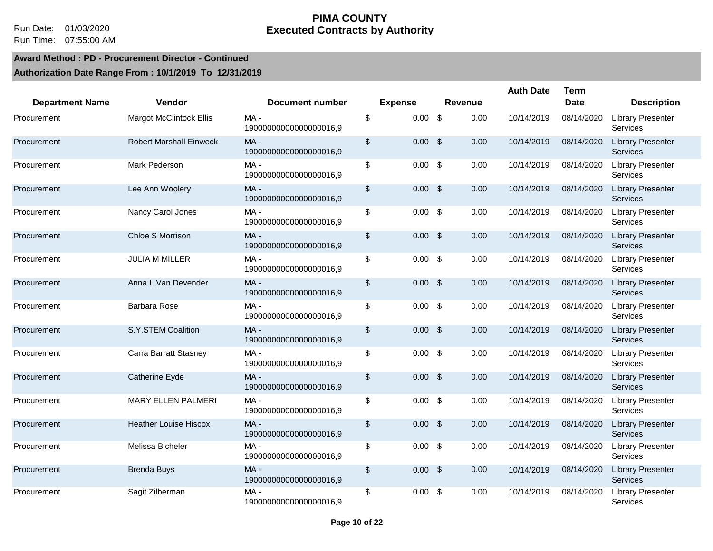#### **PIMA COUNTY** Run Date: 01/03/2020 **Executed Contracts by Authority**

**Award Method : PD - Procurement Director - Continued**

|                        |                                |                                  |                      |                |         | <b>Auth Date</b> | Term        |                                             |
|------------------------|--------------------------------|----------------------------------|----------------------|----------------|---------|------------------|-------------|---------------------------------------------|
| <b>Department Name</b> | Vendor                         | <b>Document number</b>           | <b>Expense</b>       |                | Revenue |                  | <b>Date</b> | <b>Description</b>                          |
| Procurement            | <b>Margot McClintock Ellis</b> | MA-<br>19000000000000000016,9    | \$<br>$0.00$ \$      |                | 0.00    | 10/14/2019       | 08/14/2020  | <b>Library Presenter</b><br>Services        |
| Procurement            | <b>Robert Marshall Einweck</b> | MA-<br>19000000000000000016,9    | \$<br>$0.00$ \$      |                | 0.00    | 10/14/2019       | 08/14/2020  | <b>Library Presenter</b><br><b>Services</b> |
| Procurement            | Mark Pederson                  | MA-<br>19000000000000000016,9    | \$<br>$0.00$ \$      |                | 0.00    | 10/14/2019       | 08/14/2020  | <b>Library Presenter</b><br>Services        |
| Procurement            | Lee Ann Woolery                | $MA -$<br>19000000000000000016,9 | \$<br>$0.00$ \$      |                | 0.00    | 10/14/2019       | 08/14/2020  | <b>Library Presenter</b><br><b>Services</b> |
| Procurement            | Nancy Carol Jones              | MA-<br>19000000000000000016,9    | \$<br>$0.00$ \$      |                | 0.00    | 10/14/2019       | 08/14/2020  | <b>Library Presenter</b><br>Services        |
| Procurement            | Chloe S Morrison               | MA-<br>19000000000000000016,9    | \$<br>0.00           | $\mathfrak{s}$ | 0.00    | 10/14/2019       | 08/14/2020  | <b>Library Presenter</b><br>Services        |
| Procurement            | <b>JULIA M MILLER</b>          | MA-<br>19000000000000000016,9    | \$<br>0.00           | \$             | 0.00    | 10/14/2019       | 08/14/2020  | <b>Library Presenter</b><br><b>Services</b> |
| Procurement            | Anna L Van Devender            | MA-<br>19000000000000000016,9    | \$<br>0.00           | $\mathfrak{s}$ | 0.00    | 10/14/2019       | 08/14/2020  | <b>Library Presenter</b><br>Services        |
| Procurement            | <b>Barbara Rose</b>            | $MA -$<br>19000000000000000016,9 | \$<br>$0.00\quad$ \$ |                | 0.00    | 10/14/2019       | 08/14/2020  | <b>Library Presenter</b><br>Services        |
| Procurement            | S.Y.STEM Coalition             | MA-<br>19000000000000000016,9    | \$<br>$0.00$ \$      |                | 0.00    | 10/14/2019       | 08/14/2020  | <b>Library Presenter</b><br>Services        |
| Procurement            | <b>Carra Barratt Stasney</b>   | MA-<br>19000000000000000016,9    | \$<br>$0.00$ \$      |                | 0.00    | 10/14/2019       | 08/14/2020  | <b>Library Presenter</b><br>Services        |
| Procurement            | Catherine Eyde                 | MA-<br>19000000000000000016,9    | \$<br>0.00           | $\mathfrak{s}$ | 0.00    | 10/14/2019       | 08/14/2020  | <b>Library Presenter</b><br><b>Services</b> |
| Procurement            | MARY ELLEN PALMERI             | MA-<br>19000000000000000016,9    | \$<br>0.00           | $\mathfrak{s}$ | 0.00    | 10/14/2019       | 08/14/2020  | <b>Library Presenter</b><br>Services        |
| Procurement            | <b>Heather Louise Hiscox</b>   | $MA -$<br>19000000000000000016,9 | \$<br>$0.00$ \$      |                | 0.00    | 10/14/2019       | 08/14/2020  | <b>Library Presenter</b><br><b>Services</b> |
| Procurement            | Melissa Bicheler               | MA-<br>19000000000000000016,9    | \$<br>$0.00$ \$      |                | 0.00    | 10/14/2019       | 08/14/2020  | <b>Library Presenter</b><br>Services        |
| Procurement            | <b>Brenda Buys</b>             | MA-<br>19000000000000000016,9    | \$<br>0.00           | $\mathfrak{s}$ | 0.00    | 10/14/2019       | 08/14/2020  | <b>Library Presenter</b><br>Services        |
| Procurement            | Sagit Zilberman                | MA-<br>19000000000000000016,9    | \$<br>$0.00$ \$      |                | 0.00    | 10/14/2019       | 08/14/2020  | <b>Library Presenter</b><br><b>Services</b> |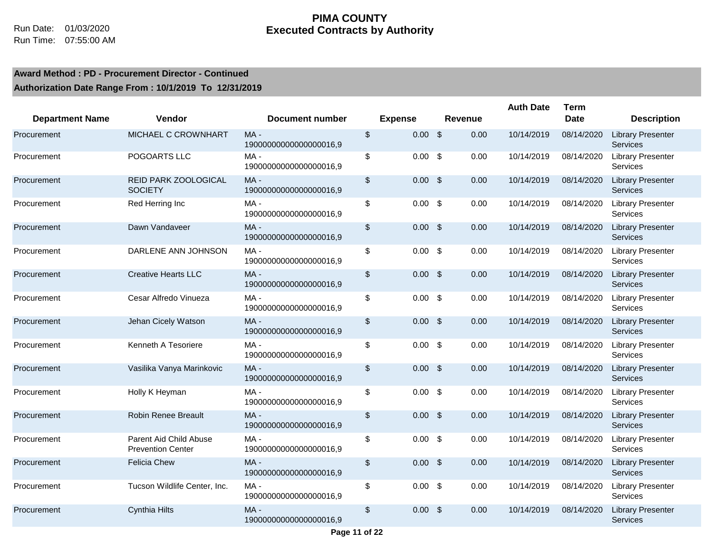|                        |                                                    |                                  |                           |                |            |         | <b>Auth Date</b> | Term        |                                             |
|------------------------|----------------------------------------------------|----------------------------------|---------------------------|----------------|------------|---------|------------------|-------------|---------------------------------------------|
| <b>Department Name</b> | Vendor                                             | <b>Document number</b>           |                           | <b>Expense</b> |            | Revenue |                  | <b>Date</b> | <b>Description</b>                          |
| Procurement            | MICHAEL C CROWNHART                                | MA-<br>19000000000000000016,9    | $\$\$                     | $0.00$ \$      |            | 0.00    | 10/14/2019       | 08/14/2020  | <b>Library Presenter</b><br><b>Services</b> |
| Procurement            | POGOARTS LLC                                       | $MA -$<br>19000000000000000016,9 | \$                        | $0.00$ \$      |            | 0.00    | 10/14/2019       | 08/14/2020  | <b>Library Presenter</b><br>Services        |
| Procurement            | REID PARK ZOOLOGICAL<br><b>SOCIETY</b>             | MA-<br>19000000000000000016,9    | $\boldsymbol{\mathsf{S}}$ | 0.00           | \$         | 0.00    | 10/14/2019       | 08/14/2020  | <b>Library Presenter</b><br>Services        |
| Procurement            | Red Herring Inc                                    | MA-<br>19000000000000000016,9    | \$                        | 0.00           | \$         | 0.00    | 10/14/2019       | 08/14/2020  | <b>Library Presenter</b><br>Services        |
| Procurement            | Dawn Vandaveer                                     | MA-<br>19000000000000000016,9    | $\frac{1}{2}$             | 0.00           | - \$       | 0.00    | 10/14/2019       | 08/14/2020  | <b>Library Presenter</b><br>Services        |
| Procurement            | DARLENE ANN JOHNSON                                | MA-<br>19000000000000000016,9    | \$                        | 0.00           | -\$        | 0.00    | 10/14/2019       | 08/14/2020  | <b>Library Presenter</b><br>Services        |
| Procurement            | <b>Creative Hearts LLC</b>                         | $MA -$<br>1900000000000000016,9  | $\boldsymbol{\theta}$     | $0.00\,$ \$    |            | 0.00    | 10/14/2019       | 08/14/2020  | <b>Library Presenter</b><br>Services        |
| Procurement            | Cesar Alfredo Vinueza                              | MA-<br>19000000000000000016,9    | $\$\$                     | $0.00$ \$      |            | 0.00    | 10/14/2019       | 08/14/2020  | <b>Library Presenter</b><br>Services        |
| Procurement            | Jehan Cicely Watson                                | MA-<br>19000000000000000016,9    | $\boldsymbol{\mathsf{S}}$ | 0.00           | $\sqrt{3}$ | 0.00    | 10/14/2019       | 08/14/2020  | <b>Library Presenter</b><br>Services        |
| Procurement            | Kenneth A Tesoriere                                | MA-<br>19000000000000000016,9    | $\sqrt[6]{\frac{1}{2}}$   | 0.00           | \$         | 0.00    | 10/14/2019       | 08/14/2020  | <b>Library Presenter</b><br>Services        |
| Procurement            | Vasilika Vanya Marinkovic                          | MA-<br>19000000000000000016,9    | $\sqrt[6]{\frac{1}{2}}$   | 0.00           | \$         | 0.00    | 10/14/2019       | 08/14/2020  | <b>Library Presenter</b><br>Services        |
| Procurement            | Holly K Heyman                                     | MA-<br>19000000000000000016,9    | $\$\$                     | 0.00           | -\$        | 0.00    | 10/14/2019       | 08/14/2020  | <b>Library Presenter</b><br>Services        |
| Procurement            | <b>Robin Renee Breault</b>                         | $MA -$<br>1900000000000000016,9  | $\sqrt[6]{\frac{1}{2}}$   | $0.00\,$ \$    |            | 0.00    | 10/14/2019       | 08/14/2020  | <b>Library Presenter</b><br>Services        |
| Procurement            | Parent Aid Child Abuse<br><b>Prevention Center</b> | MA-<br>19000000000000000016,9    | $\sqrt[6]{\frac{1}{2}}$   | $0.00\,$ \$    |            | 0.00    | 10/14/2019       | 08/14/2020  | <b>Library Presenter</b><br>Services        |
| Procurement            | <b>Felicia Chew</b>                                | $MA -$<br>19000000000000000016,9 | $\frac{1}{2}$             | 0.00           | - \$       | 0.00    | 10/14/2019       | 08/14/2020  | <b>Library Presenter</b><br>Services        |
| Procurement            | Tucson Wildlife Center, Inc.                       | $MA -$<br>19000000000000000016,9 | \$                        | 0.00           | -\$        | 0.00    | 10/14/2019       | 08/14/2020  | <b>Library Presenter</b><br>Services        |
| Procurement            | <b>Cynthia Hilts</b>                               | MA-<br>19000000000000000016,9    | $\boldsymbol{\mathsf{S}}$ | 0.00           | \$         | 0.00    | 10/14/2019       | 08/14/2020  | <b>Library Presenter</b><br><b>Services</b> |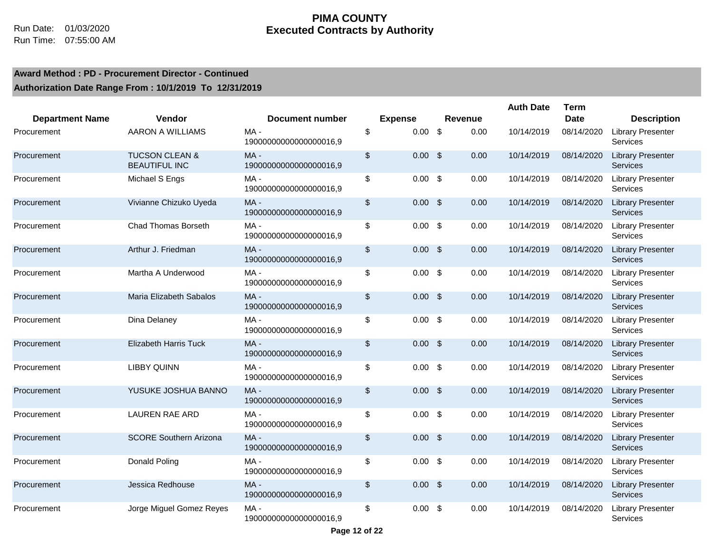|                        |                                                   |                                  |                         |                |                |         | <b>Auth Date</b> | <b>Term</b> |                                             |
|------------------------|---------------------------------------------------|----------------------------------|-------------------------|----------------|----------------|---------|------------------|-------------|---------------------------------------------|
| <b>Department Name</b> | Vendor                                            | <b>Document number</b>           |                         | <b>Expense</b> |                | Revenue |                  | <b>Date</b> | <b>Description</b>                          |
| Procurement            | AARON A WILLIAMS                                  | MA-<br>19000000000000000016,9    | \$                      | $0.00$ \$      |                | 0.00    | 10/14/2019       | 08/14/2020  | <b>Library Presenter</b><br>Services        |
| Procurement            | <b>TUCSON CLEAN &amp;</b><br><b>BEAUTIFUL INC</b> | MA-<br>19000000000000000016,9    | $\sqrt[6]{\frac{1}{2}}$ | $0.00$ \$      |                | 0.00    | 10/14/2019       | 08/14/2020  | <b>Library Presenter</b><br>Services        |
| Procurement            | Michael S Engs                                    | MA-<br>19000000000000000016,9    | \$                      | $0.00\,$ \$    |                | 0.00    | 10/14/2019       | 08/14/2020  | <b>Library Presenter</b><br>Services        |
| Procurement            | Vivianne Chizuko Uyeda                            | MA-<br>19000000000000000016,9    | \$                      | $0.00$ \$      |                | 0.00    | 10/14/2019       | 08/14/2020  | <b>Library Presenter</b><br><b>Services</b> |
| Procurement            | <b>Chad Thomas Borseth</b>                        | MA-<br>19000000000000000016,9    | \$                      | $0.00\,$ \$    |                | 0.00    | 10/14/2019       | 08/14/2020  | <b>Library Presenter</b><br>Services        |
| Procurement            | Arthur J. Friedman                                | MA-<br>19000000000000000016,9    | \$                      | 0.00           | $\mathfrak{s}$ | 0.00    | 10/14/2019       | 08/14/2020  | <b>Library Presenter</b><br>Services        |
| Procurement            | Martha A Underwood                                | MA -<br>1900000000000000016,9    | \$                      | $0.00$ \$      |                | 0.00    | 10/14/2019       | 08/14/2020  | <b>Library Presenter</b><br>Services        |
| Procurement            | Maria Elizabeth Sabalos                           | $MA -$<br>19000000000000000016,9 | $\sqrt[6]{\frac{1}{2}}$ | $0.00$ \$      |                | 0.00    | 10/14/2019       | 08/14/2020  | <b>Library Presenter</b><br>Services        |
| Procurement            | Dina Delaney                                      | MA -<br>19000000000000000016,9   | \$                      | $0.00$ \$      |                | 0.00    | 10/14/2019       | 08/14/2020  | <b>Library Presenter</b><br>Services        |
| Procurement            | <b>Elizabeth Harris Tuck</b>                      | $MA -$<br>19000000000000000016,9 | $\sqrt[6]{\frac{1}{2}}$ | 0.00           | $\mathfrak{s}$ | 0.00    | 10/14/2019       | 08/14/2020  | <b>Library Presenter</b><br>Services        |
| Procurement            | <b>LIBBY QUINN</b>                                | MA-<br>19000000000000000016,9    | \$                      | $0.00\,$ \$    |                | 0.00    | 10/14/2019       | 08/14/2020  | <b>Library Presenter</b><br>Services        |
| Procurement            | YUSUKE JOSHUA BANNO                               | $MA -$<br>19000000000000000016,9 | \$                      | $0.00$ \$      |                | 0.00    | 10/14/2019       | 08/14/2020  | <b>Library Presenter</b><br>Services        |
| Procurement            | <b>LAUREN RAE ARD</b>                             | MA-<br>1900000000000000016,9     | \$                      | $0.00\quad$ \$ |                | 0.00    | 10/14/2019       | 08/14/2020  | <b>Library Presenter</b><br>Services        |
| Procurement            | <b>SCORE Southern Arizona</b>                     | MA-<br>19000000000000000016,9    | \$                      | $0.00$ \$      |                | 0.00    | 10/14/2019       | 08/14/2020  | <b>Library Presenter</b><br><b>Services</b> |
| Procurement            | Donald Poling                                     | MA -<br>19000000000000000016,9   | \$                      | $0.00\,$ \$    |                | 0.00    | 10/14/2019       | 08/14/2020  | <b>Library Presenter</b><br>Services        |
| Procurement            | Jessica Redhouse                                  | $MA -$<br>19000000000000000016,9 | \$                      | 0.00           | $\mathfrak{s}$ | 0.00    | 10/14/2019       | 08/14/2020  | <b>Library Presenter</b><br><b>Services</b> |
| Procurement            | Jorge Miguel Gomez Reyes                          | MA-<br>19000000000000000016,9    | \$                      | 0.00           | - \$           | 0.00    | 10/14/2019       | 08/14/2020  | <b>Library Presenter</b><br>Services        |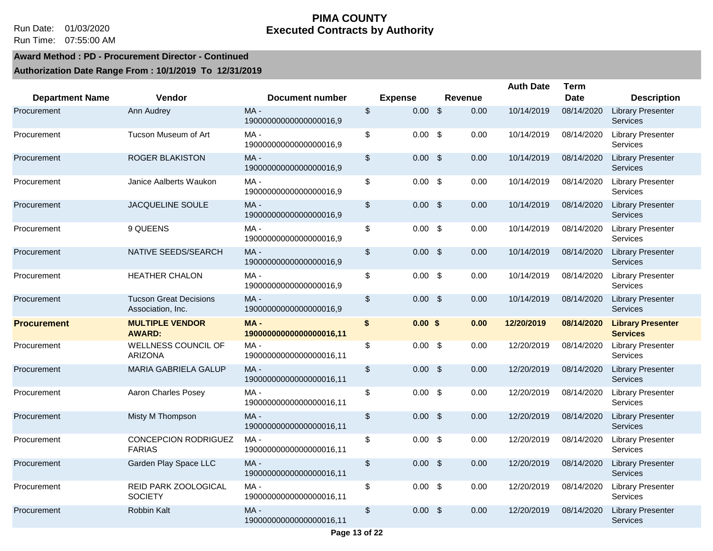#### **PIMA COUNTY** Run Date: 01/03/2020 **Executed Contracts by Authority**

#### **Award Method : PD - Procurement Director - Continued**

|                        |                                                    |                                   |                         |                |                |         | <b>Auth Date</b> | Term        |                                             |
|------------------------|----------------------------------------------------|-----------------------------------|-------------------------|----------------|----------------|---------|------------------|-------------|---------------------------------------------|
| <b>Department Name</b> | Vendor                                             | Document number                   |                         | <b>Expense</b> |                | Revenue |                  | <b>Date</b> | <b>Description</b>                          |
| Procurement            | Ann Audrey                                         | MA-<br>19000000000000000016,9     | $\sqrt[6]{\frac{1}{2}}$ | $0.00$ \$      |                | 0.00    | 10/14/2019       | 08/14/2020  | <b>Library Presenter</b><br><b>Services</b> |
| Procurement            | Tucson Museum of Art                               | $MA -$<br>19000000000000000016,9  | \$                      | 0.00           | \$             | 0.00    | 10/14/2019       | 08/14/2020  | <b>Library Presenter</b><br>Services        |
| Procurement            | <b>ROGER BLAKISTON</b>                             | $MA -$<br>19000000000000000016,9  | $\sqrt[6]{\frac{1}{2}}$ | 0.00           | $\sqrt[6]{3}$  | 0.00    | 10/14/2019       | 08/14/2020  | <b>Library Presenter</b><br>Services        |
| Procurement            | Janice Aalberts Waukon                             | $MA -$<br>19000000000000000016,9  | \$                      | 0.00           | \$             | 0.00    | 10/14/2019       | 08/14/2020  | <b>Library Presenter</b><br>Services        |
| Procurement            | <b>JACQUELINE SOULE</b>                            | $MA -$<br>19000000000000000016,9  | $\sqrt[6]{\frac{1}{2}}$ | 0.00           | $\sqrt[6]{3}$  | 0.00    | 10/14/2019       | 08/14/2020  | <b>Library Presenter</b><br>Services        |
| Procurement            | 9 QUEENS                                           | $MA -$<br>19000000000000000016,9  | \$                      | 0.00           | \$             | 0.00    | 10/14/2019       | 08/14/2020  | <b>Library Presenter</b><br>Services        |
| Procurement            | NATIVE SEEDS/SEARCH                                | $MA -$<br>19000000000000000016,9  | $\sqrt[6]{\frac{1}{2}}$ | 0.00           | $\sqrt[6]{3}$  | 0.00    | 10/14/2019       | 08/14/2020  | <b>Library Presenter</b><br>Services        |
| Procurement            | <b>HEATHER CHALON</b>                              | $MA -$<br>19000000000000000016,9  | \$                      | 0.00           | \$             | 0.00    | 10/14/2019       | 08/14/2020  | <b>Library Presenter</b><br>Services        |
| Procurement            | <b>Tucson Great Decisions</b><br>Association, Inc. | $MA -$<br>19000000000000000016,9  | $\sqrt[6]{\frac{1}{2}}$ | 0.00           | $\sqrt[6]{3}$  | 0.00    | 10/14/2019       | 08/14/2020  | <b>Library Presenter</b><br>Services        |
| <b>Procurement</b>     | <b>MULTIPLE VENDOR</b><br><b>AWARD:</b>            | MA-<br>19000000000000000016,11    | \$                      | $0.00$ \$      |                | 0.00    | 12/20/2019       | 08/14/2020  | <b>Library Presenter</b><br><b>Services</b> |
| Procurement            | WELLNESS COUNCIL OF<br><b>ARIZONA</b>              | $MA -$<br>19000000000000000016,11 | \$                      | $0.00$ \$      |                | 0.00    | 12/20/2019       | 08/14/2020  | <b>Library Presenter</b><br>Services        |
| Procurement            | <b>MARIA GABRIELA GALUP</b>                        | $MA -$<br>19000000000000000016,11 | $\sqrt[6]{\frac{1}{2}}$ | 0.00           | $\sqrt[6]{3}$  | 0.00    | 12/20/2019       | 08/14/2020  | <b>Library Presenter</b><br><b>Services</b> |
| Procurement            | Aaron Charles Posey                                | $MA -$<br>19000000000000000016,11 | \$                      | $0.00$ \$      |                | 0.00    | 12/20/2019       | 08/14/2020  | <b>Library Presenter</b><br><b>Services</b> |
| Procurement            | Misty M Thompson                                   | $MA -$<br>19000000000000000016,11 | $\sqrt[6]{\frac{1}{2}}$ | 0.00           | $\sqrt[6]{3}$  | 0.00    | 12/20/2019       | 08/14/2020  | <b>Library Presenter</b><br><b>Services</b> |
| Procurement            | CONCEPCION RODRIGUEZ<br><b>FARIAS</b>              | $MA -$<br>19000000000000000016,11 | \$                      | 0.00           | $\mathfrak{s}$ | 0.00    | 12/20/2019       | 08/14/2020  | <b>Library Presenter</b><br><b>Services</b> |
| Procurement            | Garden Play Space LLC                              | $MA -$<br>19000000000000000016,11 | $\sqrt[6]{\frac{1}{2}}$ | 0.00           | $\sqrt[6]{3}$  | 0.00    | 12/20/2019       | 08/14/2020  | <b>Library Presenter</b><br>Services        |
| Procurement            | REID PARK ZOOLOGICAL<br><b>SOCIETY</b>             | MA-<br>19000000000000000016,11    | \$                      | 0.00           | $\sqrt{3}$     | 0.00    | 12/20/2019       | 08/14/2020  | <b>Library Presenter</b><br>Services        |
| Procurement            | <b>Robbin Kalt</b>                                 | $MA -$<br>19000000000000000016,11 | $\sqrt[6]{\frac{1}{2}}$ | 0.00           | $\sqrt{3}$     | 0.00    | 12/20/2019       | 08/14/2020  | <b>Library Presenter</b><br><b>Services</b> |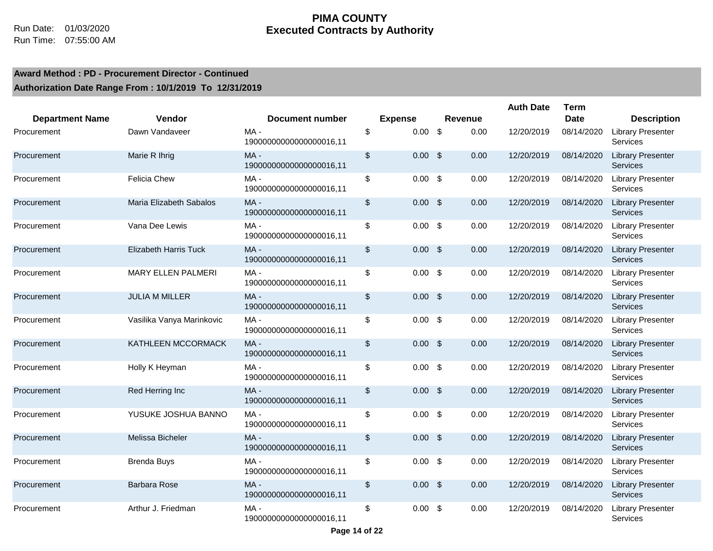|                        |                              |                                   |                         |                |                |         | <b>Auth Date</b> | <b>Term</b> |                                             |
|------------------------|------------------------------|-----------------------------------|-------------------------|----------------|----------------|---------|------------------|-------------|---------------------------------------------|
| <b>Department Name</b> | Vendor                       | <b>Document number</b>            |                         | <b>Expense</b> |                | Revenue |                  | <b>Date</b> | <b>Description</b>                          |
| Procurement            | Dawn Vandaveer               | $MA -$<br>19000000000000000016,11 | \$                      | $0.00$ \$      |                | 0.00    | 12/20/2019       | 08/14/2020  | <b>Library Presenter</b><br>Services        |
| Procurement            | Marie R Ihrig                | $MA -$<br>19000000000000000016,11 | $\sqrt[6]{2}$           | $0.00\,$ \$    |                | 0.00    | 12/20/2019       | 08/14/2020  | <b>Library Presenter</b><br><b>Services</b> |
| Procurement            | <b>Felicia Chew</b>          | $MA -$<br>19000000000000000016,11 | \$                      | $0.00\,$ \$    |                | 0.00    | 12/20/2019       | 08/14/2020  | <b>Library Presenter</b><br>Services        |
| Procurement            | Maria Elizabeth Sabalos      | $MA -$<br>19000000000000000016,11 | $\mathsf{\$}$           | $0.00$ \$      |                | 0.00    | 12/20/2019       | 08/14/2020  | <b>Library Presenter</b><br><b>Services</b> |
| Procurement            | Vana Dee Lewis               | MA-<br>19000000000000000016,11    | $\sqrt[6]{\frac{1}{2}}$ | $0.00\,$ \$    |                | 0.00    | 12/20/2019       | 08/14/2020  | <b>Library Presenter</b><br>Services        |
| Procurement            | <b>Elizabeth Harris Tuck</b> | MA-<br>19000000000000000016,11    | $\frac{1}{2}$           | 0.00           | $\mathfrak{S}$ | 0.00    | 12/20/2019       | 08/14/2020  | <b>Library Presenter</b><br>Services        |
| Procurement            | MARY ELLEN PALMERI           | MA-<br>19000000000000000016,11    | \$                      | $0.00$ \$      |                | 0.00    | 12/20/2019       | 08/14/2020  | <b>Library Presenter</b><br>Services        |
| Procurement            | <b>JULIA M MILLER</b>        | MA-<br>19000000000000000016,11    | $\frac{1}{2}$           | $0.00$ \$      |                | 0.00    | 12/20/2019       | 08/14/2020  | <b>Library Presenter</b><br>Services        |
| Procurement            | Vasilika Vanya Marinkovic    | MA-<br>19000000000000000016,11    | $\sqrt[6]{\frac{1}{2}}$ | $0.00\,$ \$    |                | 0.00    | 12/20/2019       | 08/14/2020  | <b>Library Presenter</b><br>Services        |
| Procurement            | KATHLEEN MCCORMACK           | $MA -$<br>19000000000000000016,11 | $\sqrt[6]{\frac{1}{2}}$ | 0.00           | $\sqrt{3}$     | 0.00    | 12/20/2019       | 08/14/2020  | <b>Library Presenter</b><br>Services        |
| Procurement            | Holly K Heyman               | MA-<br>19000000000000000016,11    | $\sqrt[6]{\frac{1}{2}}$ | $0.00\,$ \$    |                | 0.00    | 12/20/2019       | 08/14/2020  | <b>Library Presenter</b><br>Services        |
| Procurement            | Red Herring Inc              | MA-<br>19000000000000000016,11    | $\frac{1}{2}$           | 0.00           | $\sqrt{3}$     | 0.00    | 12/20/2019       | 08/14/2020  | <b>Library Presenter</b><br>Services        |
| Procurement            | YUSUKE JOSHUA BANNO          | MA-<br>19000000000000000016,11    | \$                      | $0.00\,$ \$    |                | 0.00    | 12/20/2019       | 08/14/2020  | <b>Library Presenter</b><br>Services        |
| Procurement            | Melissa Bicheler             | MA-<br>19000000000000000016,11    | $\sqrt[6]{\frac{1}{2}}$ | $0.00$ \$      |                | 0.00    | 12/20/2019       | 08/14/2020  | <b>Library Presenter</b><br>Services        |
| Procurement            | <b>Brenda Buys</b>           | MA-<br>19000000000000000016,11    | \$                      | $0.00\,$ \$    |                | 0.00    | 12/20/2019       | 08/14/2020  | <b>Library Presenter</b><br>Services        |
| Procurement            | <b>Barbara Rose</b>          | MA-<br>19000000000000000016,11    | $\frac{1}{2}$           | 0.00           | $\sqrt{3}$     | 0.00    | 12/20/2019       | 08/14/2020  | <b>Library Presenter</b><br>Services        |
| Procurement            | Arthur J. Friedman           | MA-<br>19000000000000000016,11    | \$                      | 0.00           | - \$           | 0.00    | 12/20/2019       | 08/14/2020  | <b>Library Presenter</b><br>Services        |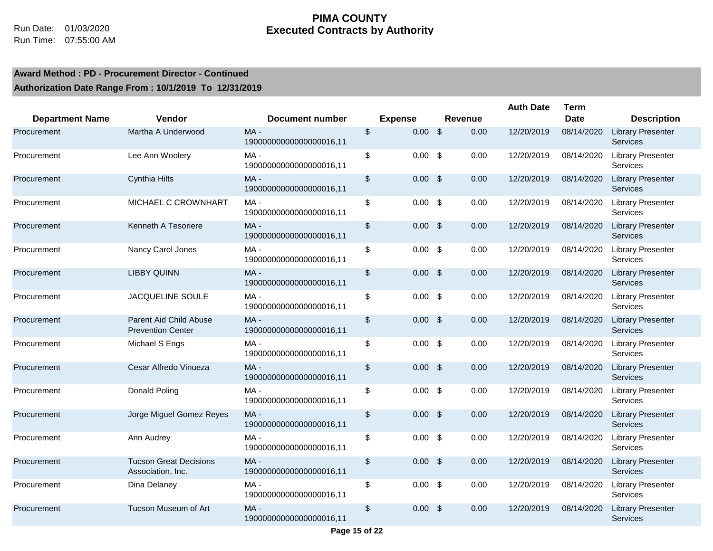#### **PIMA COUNTY Executed Contracts by Authority**

|                        |                                                    |                                   |                         |                   |               |         | <b>Auth Date</b> | <b>Term</b> |                                             |
|------------------------|----------------------------------------------------|-----------------------------------|-------------------------|-------------------|---------------|---------|------------------|-------------|---------------------------------------------|
| <b>Department Name</b> | Vendor                                             | <b>Document number</b>            |                         | <b>Expense</b>    |               | Revenue |                  | <b>Date</b> | <b>Description</b>                          |
| Procurement            | Martha A Underwood                                 | MA-<br>19000000000000000016,11    | $\sqrt[6]{\frac{1}{2}}$ | $0.00$ \$         |               | 0.00    | 12/20/2019       | 08/14/2020  | <b>Library Presenter</b><br>Services        |
| Procurement            | Lee Ann Woolery                                    | MA-<br>19000000000000000016,11    | \$                      | $0.00\,$ \$       |               | 0.00    | 12/20/2019       | 08/14/2020  | <b>Library Presenter</b><br>Services        |
| Procurement            | <b>Cynthia Hilts</b>                               | $MA -$<br>19000000000000000016,11 | $\mathsf{\$}$           | $0.00\  \  \,$ \$ |               | 0.00    | 12/20/2019       | 08/14/2020  | <b>Library Presenter</b><br><b>Services</b> |
| Procurement            | MICHAEL C CROWNHART                                | MA-<br>19000000000000000016,11    | $\sqrt[6]{\frac{1}{2}}$ | $0.00\,$ \$       |               | 0.00    | 12/20/2019       | 08/14/2020  | <b>Library Presenter</b><br>Services        |
| Procurement            | Kenneth A Tesoriere                                | MA-<br>19000000000000000016,11    | $\sqrt[6]{\frac{1}{2}}$ | $0.00\,$ \$       |               | 0.00    | 12/20/2019       | 08/14/2020  | <b>Library Presenter</b><br>Services        |
| Procurement            | Nancy Carol Jones                                  | MA-<br>19000000000000000016,11    | $\sqrt[6]{\frac{1}{2}}$ | $0.00\  \  \,$ \$ |               | 0.00    | 12/20/2019       | 08/14/2020  | <b>Library Presenter</b><br>Services        |
| Procurement            | <b>LIBBY QUINN</b>                                 | MA-<br>19000000000000000016,11    | \$                      | 0.00              | $\sqrt{3}$    | 0.00    | 12/20/2019       | 08/14/2020  | <b>Library Presenter</b><br>Services        |
| Procurement            | JACQUELINE SOULE                                   | MA -<br>19000000000000000016,11   | \$                      | $0.00\,$ \$       |               | 0.00    | 12/20/2019       | 08/14/2020  | <b>Library Presenter</b><br>Services        |
| Procurement            | Parent Aid Child Abuse<br><b>Prevention Center</b> | $MA -$<br>19000000000000000016,11 | $\frac{1}{2}$           | $0.00$ \$         |               | 0.00    | 12/20/2019       | 08/14/2020  | <b>Library Presenter</b><br>Services        |
| Procurement            | Michael S Engs                                     | $MA -$<br>19000000000000000016,11 | $\sqrt[6]{\frac{1}{2}}$ | $0.00\,$ \$       |               | 0.00    | 12/20/2019       | 08/14/2020  | <b>Library Presenter</b><br>Services        |
| Procurement            | Cesar Alfredo Vinueza                              | $MA -$<br>19000000000000000016,11 | $\frac{1}{2}$           | 0.00              | $\sqrt{3}$    | 0.00    | 12/20/2019       | 08/14/2020  | <b>Library Presenter</b><br>Services        |
| Procurement            | Donald Poling                                      | MA-<br>19000000000000000016,11    | $\sqrt[6]{\frac{1}{2}}$ | 0.00              | \$            | 0.00    | 12/20/2019       | 08/14/2020  | <b>Library Presenter</b><br>Services        |
| Procurement            | Jorge Miguel Gomez Reyes                           | $MA -$<br>19000000000000000016,11 | $\sqrt[6]{\frac{1}{2}}$ | 0.00              | $\mathcal{S}$ | 0.00    | 12/20/2019       | 08/14/2020  | <b>Library Presenter</b><br>Services        |
| Procurement            | Ann Audrey                                         | $MA -$<br>19000000000000000016,11 | $\sqrt[6]{\frac{1}{2}}$ | $0.00\  \  \,$ \$ |               | 0.00    | 12/20/2019       | 08/14/2020  | <b>Library Presenter</b><br>Services        |
| Procurement            | <b>Tucson Great Decisions</b><br>Association, Inc. | MA-<br>19000000000000000016,11    | $\frac{1}{2}$           | $0.00\,$ \$       |               | 0.00    | 12/20/2019       | 08/14/2020  | <b>Library Presenter</b><br><b>Services</b> |
| Procurement            | Dina Delaney                                       | MA -<br>19000000000000000016,11   | $\sqrt[6]{\frac{1}{2}}$ | $0.00\,$ \$       |               | 0.00    | 12/20/2019       | 08/14/2020  | <b>Library Presenter</b><br><b>Services</b> |
| Procurement            | Tucson Museum of Art                               | MA-<br>19000000000000000016,11    | \$                      | 0.00              | $\sqrt{3}$    | 0.00    | 12/20/2019       | 08/14/2020  | <b>Library Presenter</b><br><b>Services</b> |
|                        |                                                    |                                   |                         |                   |               |         |                  |             |                                             |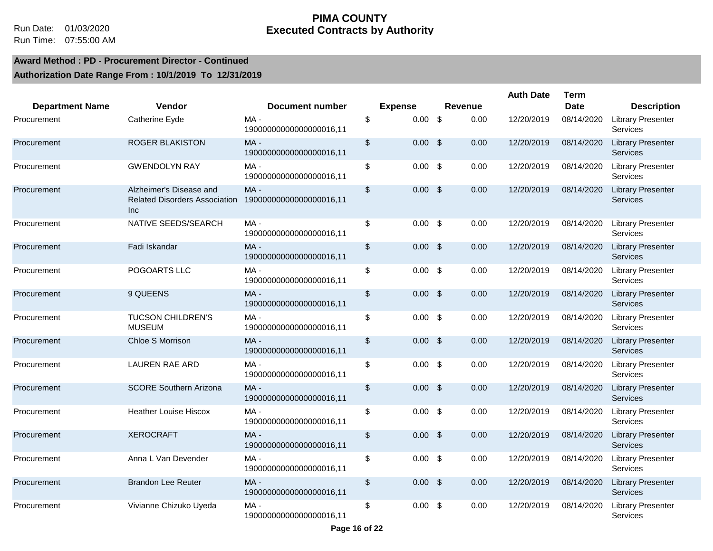#### **PIMA COUNTY** Run Date: 01/03/2020 **Executed Contracts by Authority**

### **Award Method : PD - Procurement Director - Continued**

|                        |                                                                        |                                   |               |                |         | <b>Auth Date</b> | <b>Term</b> |                                             |
|------------------------|------------------------------------------------------------------------|-----------------------------------|---------------|----------------|---------|------------------|-------------|---------------------------------------------|
| <b>Department Name</b> | <b>Vendor</b>                                                          | <b>Document number</b>            |               | <b>Expense</b> | Revenue |                  | Date        | <b>Description</b>                          |
| Procurement            | Catherine Eyde                                                         | $MA -$<br>19000000000000000016,11 | \$            | $0.00$ \$      | 0.00    | 12/20/2019       | 08/14/2020  | <b>Library Presenter</b><br><b>Services</b> |
| Procurement            | <b>ROGER BLAKISTON</b>                                                 | $MA -$<br>19000000000000000016,11 | \$            | $0.00$ \$      | 0.00    | 12/20/2019       | 08/14/2020  | <b>Library Presenter</b><br><b>Services</b> |
| Procurement            | <b>GWENDOLYN RAY</b>                                                   | MA-<br>19000000000000000016,11    | \$            | $0.00$ \$      | 0.00    | 12/20/2019       | 08/14/2020  | <b>Library Presenter</b><br>Services        |
| Procurement            | Alzheimer's Disease and<br><b>Related Disorders Association</b><br>Inc | MA-<br>19000000000000000016,11    | \$            | $0.00$ \$      | 0.00    | 12/20/2019       | 08/14/2020  | <b>Library Presenter</b><br>Services        |
| Procurement            | NATIVE SEEDS/SEARCH                                                    | $MA -$<br>19000000000000000016,11 | \$            | $0.00$ \$      | 0.00    | 12/20/2019       | 08/14/2020  | <b>Library Presenter</b><br>Services        |
| Procurement            | Fadi Iskandar                                                          | $MA -$<br>19000000000000000016,11 | $\frac{1}{2}$ | $0.00$ \$      | 0.00    | 12/20/2019       | 08/14/2020  | <b>Library Presenter</b><br>Services        |
| Procurement            | POGOARTS LLC                                                           | $MA -$<br>19000000000000000016,11 | \$            | $0.00$ \$      | 0.00    | 12/20/2019       | 08/14/2020  | <b>Library Presenter</b><br>Services        |
| Procurement            | 9 QUEENS                                                               | $MA -$<br>19000000000000000016,11 | \$            | $0.00$ \$      | 0.00    | 12/20/2019       | 08/14/2020  | <b>Library Presenter</b><br>Services        |
| Procurement            | <b>TUCSON CHILDREN'S</b><br><b>MUSEUM</b>                              | MA-<br>19000000000000000016,11    | \$            | $0.00$ \$      | 0.00    | 12/20/2019       | 08/14/2020  | <b>Library Presenter</b><br>Services        |
| Procurement            | Chloe S Morrison                                                       | $MA -$<br>19000000000000000016,11 | \$            | $0.00$ \$      | 0.00    | 12/20/2019       | 08/14/2020  | <b>Library Presenter</b><br>Services        |
| Procurement            | <b>LAUREN RAE ARD</b>                                                  | $MA -$<br>19000000000000000016,11 | \$            | $0.00$ \$      | 0.00    | 12/20/2019       | 08/14/2020  | <b>Library Presenter</b><br><b>Services</b> |
| Procurement            | <b>SCORE Southern Arizona</b>                                          | $MA -$<br>19000000000000000016,11 | \$            | $0.00$ \$      | 0.00    | 12/20/2019       | 08/14/2020  | <b>Library Presenter</b><br><b>Services</b> |
| Procurement            | <b>Heather Louise Hiscox</b>                                           | $MA -$<br>19000000000000000016,11 | \$            | $0.00$ \$      | 0.00    | 12/20/2019       | 08/14/2020  | <b>Library Presenter</b><br>Services        |
| Procurement            | <b>XEROCRAFT</b>                                                       | MA-<br>19000000000000000016,11    | \$            | $0.00$ \$      | 0.00    | 12/20/2019       | 08/14/2020  | <b>Library Presenter</b><br>Services        |
| Procurement            | Anna L Van Devender                                                    | $MA -$<br>19000000000000000016,11 | \$            | $0.00$ \$      | 0.00    | 12/20/2019       | 08/14/2020  | <b>Library Presenter</b><br><b>Services</b> |
| Procurement            | <b>Brandon Lee Reuter</b>                                              | $MA -$<br>19000000000000000016,11 | \$            | $0.00$ \$      | 0.00    | 12/20/2019       | 08/14/2020  | <b>Library Presenter</b><br>Services        |
| Procurement            | Vivianne Chizuko Uyeda                                                 | MA-<br>19000000000000000016,11    | \$            | $0.00$ \$      | 0.00    | 12/20/2019       | 08/14/2020  | <b>Library Presenter</b><br>Services        |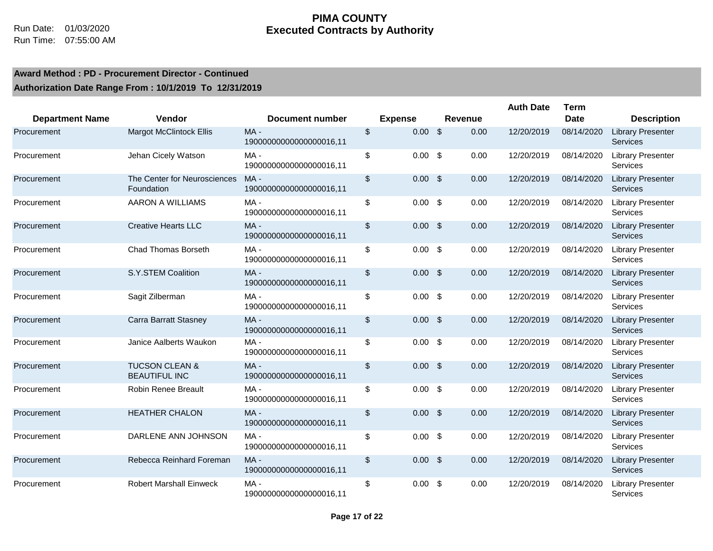|                        |                                                   |                                   |                           |                   |                    |         | <b>Auth Date</b> | <b>Term</b> |                                             |
|------------------------|---------------------------------------------------|-----------------------------------|---------------------------|-------------------|--------------------|---------|------------------|-------------|---------------------------------------------|
| <b>Department Name</b> | <b>Vendor</b>                                     | <b>Document number</b>            |                           | <b>Expense</b>    |                    | Revenue |                  | <b>Date</b> | <b>Description</b>                          |
| Procurement            | <b>Margot McClintock Ellis</b>                    | MA-<br>19000000000000000016,11    | \$                        | $0.00$ \$         |                    | 0.00    | 12/20/2019       | 08/14/2020  | <b>Library Presenter</b><br>Services        |
| Procurement            | Jehan Cicely Watson                               | $MA -$<br>19000000000000000016,11 | \$                        | $0.00\  \  \,$ \$ |                    | 0.00    | 12/20/2019       | 08/14/2020  | <b>Library Presenter</b><br>Services        |
| Procurement            | The Center for Neurosciences<br>Foundation        | $MA -$<br>19000000000000000016,11 | $\frac{1}{2}$             | $0.00$ \$         |                    | 0.00    | 12/20/2019       | 08/14/2020  | <b>Library Presenter</b><br>Services        |
| Procurement            | AARON A WILLIAMS                                  | MA-<br>19000000000000000016,11    | \$                        | $0.00$ \$         |                    | 0.00    | 12/20/2019       | 08/14/2020  | <b>Library Presenter</b><br><b>Services</b> |
| Procurement            | <b>Creative Hearts LLC</b>                        | $MA -$<br>19000000000000000016,11 | $\frac{1}{2}$             | $0.00$ \$         |                    | 0.00    | 12/20/2019       | 08/14/2020  | <b>Library Presenter</b><br>Services        |
| Procurement            | <b>Chad Thomas Borseth</b>                        | $MA -$<br>19000000000000000016,11 | \$                        | $0.00\,$ \$       |                    | 0.00    | 12/20/2019       | 08/14/2020  | <b>Library Presenter</b><br>Services        |
| Procurement            | S.Y.STEM Coalition                                | $MA -$<br>19000000000000000016,11 | $\boldsymbol{\mathsf{S}}$ | $0.00$ \$         |                    | 0.00    | 12/20/2019       | 08/14/2020  | <b>Library Presenter</b><br><b>Services</b> |
| Procurement            | Sagit Zilberman                                   | MA -<br>19000000000000000016,11   | \$                        | $0.00\,$ \$       |                    | 0.00    | 12/20/2019       | 08/14/2020  | <b>Library Presenter</b><br>Services        |
| Procurement            | <b>Carra Barratt Stasney</b>                      | $MA -$<br>19000000000000000016,11 | $\sqrt[6]{\frac{1}{2}}$   | 0.00              | $\mathbf{\hat{s}}$ | 0.00    | 12/20/2019       | 08/14/2020  | <b>Library Presenter</b><br>Services        |
| Procurement            | Janice Aalberts Waukon                            | $MA -$<br>19000000000000000016,11 | \$                        | $0.00\,$ \$       |                    | 0.00    | 12/20/2019       | 08/14/2020  | <b>Library Presenter</b><br>Services        |
| Procurement            | <b>TUCSON CLEAN &amp;</b><br><b>BEAUTIFUL INC</b> | MA-<br>19000000000000000016,11    | $\boldsymbol{\mathsf{S}}$ | $0.00$ \$         |                    | 0.00    | 12/20/2019       | 08/14/2020  | <b>Library Presenter</b><br><b>Services</b> |
| Procurement            | <b>Robin Renee Breault</b>                        | MA -<br>19000000000000000016,11   | \$                        | $0.00\,$ \$       |                    | 0.00    | 12/20/2019       | 08/14/2020  | <b>Library Presenter</b><br>Services        |
| Procurement            | <b>HEATHER CHALON</b>                             | $MA -$<br>19000000000000000016,11 | $\boldsymbol{\mathsf{S}}$ | 0.00              | $\mathfrak{s}$     | 0.00    | 12/20/2019       | 08/14/2020  | <b>Library Presenter</b><br>Services        |
| Procurement            | DARLENE ANN JOHNSON                               | $MA -$<br>19000000000000000016,11 | \$                        | $0.00$ \$         |                    | 0.00    | 12/20/2019       | 08/14/2020  | <b>Library Presenter</b><br><b>Services</b> |
| Procurement            | Rebecca Reinhard Foreman                          | MA-<br>19000000000000000016,11    | $\sqrt[6]{2}$             | $0.00$ \$         |                    | 0.00    | 12/20/2019       | 08/14/2020  | <b>Library Presenter</b><br>Services        |
| Procurement            | <b>Robert Marshall Einweck</b>                    | $MA -$<br>19000000000000000016,11 | \$                        | 0.00              | - \$               | 0.00    | 12/20/2019       | 08/14/2020  | Library Presenter<br>Services               |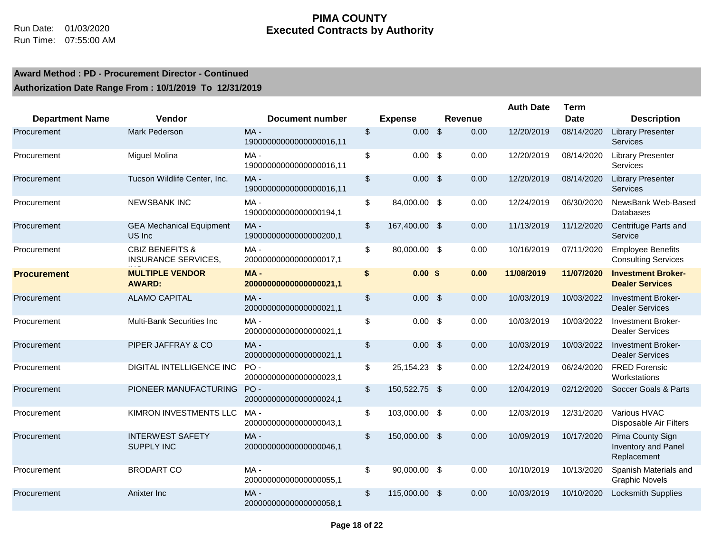|                        |                                                          |                                   |                         |                   |      |                | <b>Auth Date</b> | <b>Term</b> |                                                               |
|------------------------|----------------------------------------------------------|-----------------------------------|-------------------------|-------------------|------|----------------|------------------|-------------|---------------------------------------------------------------|
| <b>Department Name</b> | Vendor                                                   | Document number                   |                         | <b>Expense</b>    |      | <b>Revenue</b> |                  | <b>Date</b> | <b>Description</b>                                            |
| Procurement            | Mark Pederson                                            | MA-<br>19000000000000000016,11    | $\sqrt[6]{2}$           | $0.00$ \$         |      | 0.00           | 12/20/2019       | 08/14/2020  | <b>Library Presenter</b><br>Services                          |
| Procurement            | Miguel Molina                                            | $MA -$<br>19000000000000000016,11 | \$                      | 0.00              | - \$ | 0.00           | 12/20/2019       | 08/14/2020  | <b>Library Presenter</b><br>Services                          |
| Procurement            | Tucson Wildlife Center, Inc.                             | $MA -$<br>19000000000000000016,11 | $\frac{1}{2}$           | 0.00              | -\$  | 0.00           | 12/20/2019       | 08/14/2020  | <b>Library Presenter</b><br>Services                          |
| Procurement            | <b>NEWSBANK INC</b>                                      | MA-<br>19000000000000000194,1     | $\sqrt[6]{\frac{1}{2}}$ | 84,000.00 \$      |      | 0.00           | 12/24/2019       | 06/30/2020  | NewsBank Web-Based<br>Databases                               |
| Procurement            | <b>GEA Mechanical Equipment</b><br>US Inc                | $MA -$<br>19000000000000000200,1  | $\sqrt[6]{\frac{1}{2}}$ | 167,400.00 \$     |      | 0.00           | 11/13/2019       | 11/12/2020  | Centrifuge Parts and<br>Service                               |
| Procurement            | <b>CBIZ BENEFITS &amp;</b><br><b>INSURANCE SERVICES,</b> | MA-<br>2000000000000000017,1      | \$                      | 80,000.00 \$      |      | 0.00           | 10/16/2019       | 07/11/2020  | <b>Employee Benefits</b><br><b>Consulting Services</b>        |
| <b>Procurement</b>     | <b>MULTIPLE VENDOR</b><br><b>AWARD:</b>                  | $MA -$<br>20000000000000000021,1  | \$                      | 0.00 <sup>5</sup> |      | 0.00           | 11/08/2019       | 11/07/2020  | <b>Investment Broker-</b><br><b>Dealer Services</b>           |
| Procurement            | <b>ALAMO CAPITAL</b>                                     | $MA -$<br>2000000000000000021,1   | $\sqrt[6]{\frac{1}{2}}$ | 0.00              | -\$  | 0.00           | 10/03/2019       | 10/03/2022  | <b>Investment Broker-</b><br><b>Dealer Services</b>           |
| Procurement            | Multi-Bank Securities Inc                                | MA -<br>2000000000000000021,1     | \$                      | 0.00              | -\$  | 0.00           | 10/03/2019       | 10/03/2022  | <b>Investment Broker-</b><br><b>Dealer Services</b>           |
| Procurement            | PIPER JAFFRAY & CO                                       | $MA -$<br>2000000000000000021,1   | $\sqrt[6]{\frac{1}{2}}$ | 0.00              | \$   | 0.00           | 10/03/2019       | 10/03/2022  | <b>Investment Broker-</b><br><b>Dealer Services</b>           |
| Procurement            | DIGITAL INTELLIGENCE INC                                 | $PO -$<br>2000000000000000023,1   | $\mathfrak{P}$          | 25,154.23 \$      |      | 0.00           | 12/24/2019       | 06/24/2020  | <b>FRED Forensic</b><br>Workstations                          |
| Procurement            | PIONEER MANUFACTURING                                    | PO-<br>2000000000000000024,1      | $\sqrt[6]{2}$           | 150,522.75 \$     |      | 0.00           | 12/04/2019       | 02/12/2020  | Soccer Goals & Parts                                          |
| Procurement            | KIMRON INVESTMENTS LLC                                   | MA -<br>2000000000000000043,1     | $\sqrt[6]{\frac{1}{2}}$ | 103,000.00 \$     |      | 0.00           | 12/03/2019       | 12/31/2020  | Various HVAC<br>Disposable Air Filters                        |
| Procurement            | <b>INTERWEST SAFETY</b><br><b>SUPPLY INC</b>             | $MA -$<br>20000000000000000046,1  | $\mathfrak{S}$          | 150,000.00 \$     |      | 0.00           | 10/09/2019       | 10/17/2020  | Pima County Sign<br><b>Inventory and Panel</b><br>Replacement |
| Procurement            | <b>BRODART CO</b>                                        | MA -<br>2000000000000000055,1     | \$                      | 90,000.00 \$      |      | 0.00           | 10/10/2019       | 10/13/2020  | Spanish Materials and<br><b>Graphic Novels</b>                |
| Procurement            | Anixter Inc                                              | $MA -$<br>2000000000000000058,1   | $\mathfrak{S}$          | 115,000.00 \$     |      | 0.00           | 10/03/2019       | 10/10/2020  | <b>Locksmith Supplies</b>                                     |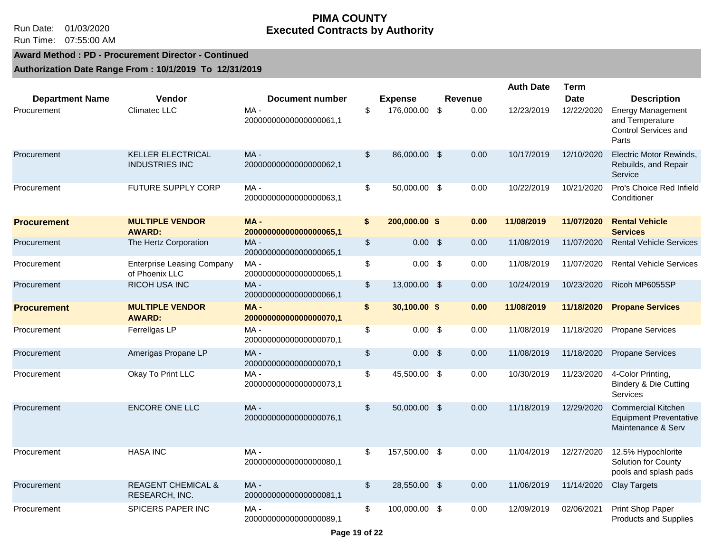#### **PIMA COUNTY** Run Date: 01/03/2020 **Executed Contracts by Authority**

#### **Award Method : PD - Procurement Director - Continued**

|                        |                                                     |                                  |                           |                 |               |         | <b>Auth Date</b> | Term        |                                                                                     |
|------------------------|-----------------------------------------------------|----------------------------------|---------------------------|-----------------|---------------|---------|------------------|-------------|-------------------------------------------------------------------------------------|
| <b>Department Name</b> | Vendor                                              | Document number                  |                           | <b>Expense</b>  |               | Revenue |                  | <b>Date</b> | <b>Description</b>                                                                  |
| Procurement            | Climatec LLC                                        | $MA -$<br>2000000000000000061,1  | \$                        | 176,000.00 \$   |               | 0.00    | 12/23/2019       | 12/22/2020  | <b>Energy Management</b><br>and Temperature<br><b>Control Services and</b><br>Parts |
| Procurement            | <b>KELLER ELECTRICAL</b><br><b>INDUSTRIES INC</b>   | $MA -$<br>2000000000000000062,1  | $\frac{1}{2}$             | 86,000.00 \$    |               | 0.00    | 10/17/2019       | 12/10/2020  | Electric Motor Rewinds,<br>Rebuilds, and Repair<br>Service                          |
| Procurement            | FUTURE SUPPLY CORP                                  | MA-<br>2000000000000000063,1     | \$                        | 50,000.00 \$    |               | 0.00    | 10/22/2019       | 10/21/2020  | Pro's Choice Red Infield<br>Conditioner                                             |
| <b>Procurement</b>     | <b>MULTIPLE VENDOR</b><br><b>AWARD:</b>             | $MA -$<br>20000000000000000065,1 | \$                        | 200,000.00 \$   |               | 0.00    | 11/08/2019       | 11/07/2020  | <b>Rental Vehicle</b><br><b>Services</b>                                            |
| Procurement            | The Hertz Corporation                               | $MA -$<br>2000000000000000065.1  | $\sqrt[6]{\frac{1}{2}}$   | $0.00$ \$       |               | 0.00    | 11/08/2019       | 11/07/2020  | <b>Rental Vehicle Services</b>                                                      |
| Procurement            | <b>Enterprise Leasing Company</b><br>of Phoenix LLC | $MA -$<br>2000000000000000065,1  | $\sqrt[6]{\frac{1}{2}}$   | $0.00$ \$       |               | 0.00    | 11/08/2019       | 11/07/2020  | <b>Rental Vehicle Services</b>                                                      |
| Procurement            | <b>RICOH USA INC</b>                                | $MA -$<br>20000000000000000066,1 | $\,$                      | 13,000.00 \$    |               | 0.00    | 10/24/2019       | 10/23/2020  | Ricoh MP6055SP                                                                      |
| <b>Procurement</b>     | <b>MULTIPLE VENDOR</b><br><b>AWARD:</b>             | $MA -$<br>20000000000000000070,1 | \$                        | 30,100.00 \$    |               | 0.00    | 11/08/2019       | 11/18/2020  | <b>Propane Services</b>                                                             |
| Procurement            | Ferrellgas LP                                       | $MA -$<br>2000000000000000070,1  | $\overline{\$}$           | $0.00 \quad$ \$ |               | 0.00    | 11/08/2019       | 11/18/2020  | <b>Propane Services</b>                                                             |
| Procurement            | Amerigas Propane LP                                 | $MA -$<br>2000000000000000070,1  | $\boldsymbol{\mathsf{S}}$ | 0.00            | $\sqrt[6]{3}$ | 0.00    | 11/08/2019       | 11/18/2020  | <b>Propane Services</b>                                                             |
| Procurement            | Okay To Print LLC                                   | $MA -$<br>2000000000000000073,1  | \$                        | 45,500.00 \$    |               | 0.00    | 10/30/2019       | 11/23/2020  | 4-Color Printing,<br><b>Bindery &amp; Die Cutting</b><br>Services                   |
| Procurement            | <b>ENCORE ONE LLC</b>                               | $MA -$<br>2000000000000000076,1  | $\frac{1}{2}$             | 50,000.00 \$    |               | 0.00    | 11/18/2019       | 12/29/2020  | <b>Commercial Kitchen</b><br><b>Equipment Preventative</b><br>Maintenance & Serv    |
| Procurement            | <b>HASA INC</b>                                     | $MA -$<br>20000000000000000080,1 | \$                        | 157,500.00 \$   |               | 0.00    | 11/04/2019       | 12/27/2020  | 12.5% Hypochlorite<br>Solution for County<br>pools and splash pads                  |
| Procurement            | <b>REAGENT CHEMICAL &amp;</b><br>RESEARCH, INC.     | $MA -$<br>2000000000000000081,1  | $\sqrt[6]{\frac{1}{2}}$   | 28,550.00 \$    |               | 0.00    | 11/06/2019       | 11/14/2020  | <b>Clay Targets</b>                                                                 |
| Procurement            | SPICERS PAPER INC                                   | MA-<br>2000000000000000089,1     | \$                        | 100,000,00 \$   |               | 0.00    | 12/09/2019       | 02/06/2021  | Print Shop Paper<br><b>Products and Supplies</b>                                    |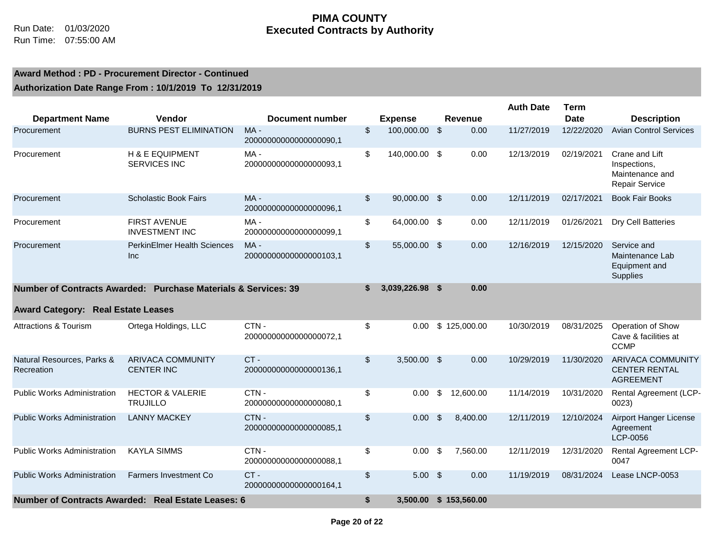|                                                                |                                                    |                                  |                         |                        | <b>Auth Date</b> | <b>Term</b> |                                                                      |
|----------------------------------------------------------------|----------------------------------------------------|----------------------------------|-------------------------|------------------------|------------------|-------------|----------------------------------------------------------------------|
| <b>Department Name</b>                                         | <b>Vendor</b>                                      | Document number                  | <b>Expense</b>          | <b>Revenue</b>         |                  | <b>Date</b> | <b>Description</b>                                                   |
| Procurement                                                    | <b>BURNS PEST ELIMINATION</b>                      | $MA -$<br>20000000000000000090,1 | \$<br>100,000.00 \$     | 0.00                   | 11/27/2019       | 12/22/2020  | <b>Avian Control Services</b>                                        |
| Procurement                                                    | H & E EQUIPMENT<br><b>SERVICES INC</b>             | MA-<br>2000000000000000093,1     | \$<br>140,000.00 \$     | 0.00                   | 12/13/2019       | 02/19/2021  | Crane and Lift<br>Inspections,<br>Maintenance and<br>Repair Service  |
| Procurement                                                    | <b>Scholastic Book Fairs</b>                       | $MA -$<br>2000000000000000096,1  | \$<br>90,000.00 \$      | 0.00                   | 12/11/2019       | 02/17/2021  | <b>Book Fair Books</b>                                               |
| Procurement                                                    | <b>FIRST AVENUE</b><br><b>INVESTMENT INC</b>       | $MA -$<br>2000000000000000099,1  | \$<br>64,000.00 \$      | 0.00                   | 12/11/2019       | 01/26/2021  | Dry Cell Batteries                                                   |
| Procurement                                                    | <b>PerkinElmer Health Sciences</b><br>Inc          | MA-<br>2000000000000000103,1     | \$<br>55,000.00 \$      | 0.00                   | 12/16/2019       | 12/15/2020  | Service and<br>Maintenance Lab<br>Equipment and<br>Supplies          |
| Number of Contracts Awarded: Purchase Materials & Services: 39 |                                                    |                                  | \$<br>3,039,226.98 \$   | 0.00                   |                  |             |                                                                      |
| <b>Award Category:</b>                                         | <b>Real Estate Leases</b>                          |                                  |                         |                        |                  |             |                                                                      |
| <b>Attractions &amp; Tourism</b>                               | Ortega Holdings, LLC                               | CTN-<br>2000000000000000072,1    | \$<br>0.00 <sub>1</sub> | \$125,000.00           | 10/30/2019       | 08/31/2025  | Operation of Show<br>Cave & facilities at<br><b>CCMP</b>             |
| Natural Resources, Parks &<br>Recreation                       | <b>ARIVACA COMMUNITY</b><br><b>CENTER INC</b>      | $CT -$<br>2000000000000000136,1  | \$<br>3,500.00 \$       | 0.00                   | 10/29/2019       | 11/30/2020  | <b>ARIVACA COMMUNITY</b><br><b>CENTER RENTAL</b><br><b>AGREEMENT</b> |
| <b>Public Works Administration</b>                             | <b>HECTOR &amp; VALERIE</b><br><b>TRUJILLO</b>     | CTN-<br>20000000000000000080,1   | \$<br>0.00              | \$<br>12,600.00        | 11/14/2019       | 10/31/2020  | <b>Rental Agreement (LCP-</b><br>0023)                               |
| <b>Public Works Administration</b>                             | <b>LANNY MACKEY</b>                                | CTN-<br>20000000000000000085,1   | \$<br>0.00              | \$<br>8,400.00         | 12/11/2019       | 12/10/2024  | Airport Hanger License<br>Agreement<br>LCP-0056                      |
| <b>Public Works Administration</b>                             | <b>KAYLA SIMMS</b>                                 | CTN-<br>2000000000000000088,1    | \$<br>0.00              | \$<br>7,560.00         | 12/11/2019       | 12/31/2020  | <b>Rental Agreement LCP-</b><br>0047                                 |
| <b>Public Works Administration</b>                             | <b>Farmers Investment Co</b>                       | $CT -$<br>20000000000000000164,1 | \$<br>$5.00$ \$         | 0.00                   | 11/19/2019       | 08/31/2024  | Lease LNCP-0053                                                      |
|                                                                | Number of Contracts Awarded: Real Estate Leases: 6 |                                  | \$                      | 3,500.00 \$ 153,560.00 |                  |             |                                                                      |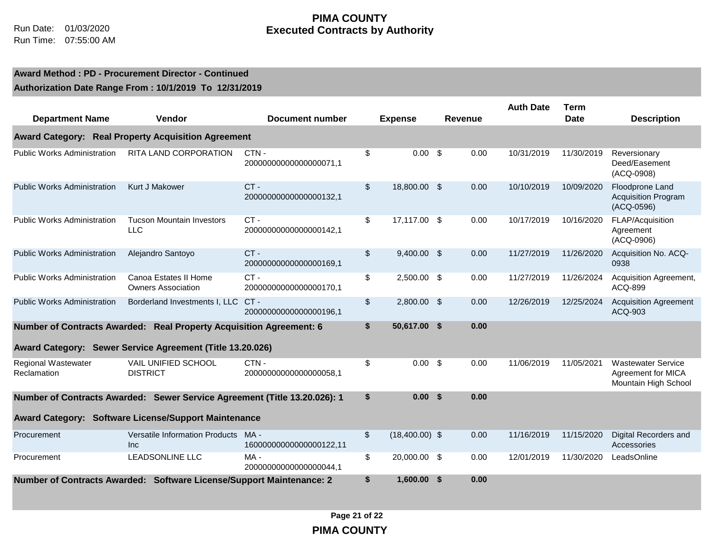Run Time: 07:55:00 AM

#### **Award Method : PD - Procurement Director - Continued Authorization Date Range From : 10/1/2019 To 12/31/2019**

| <b>Department Name</b>                    | <b>Vendor</b>                                                             | Document number                  |               | <b>Expense</b>   |          | Revenue | <b>Auth Date</b> | <b>Term</b><br><b>Date</b> | <b>Description</b>                                                      |
|-------------------------------------------|---------------------------------------------------------------------------|----------------------------------|---------------|------------------|----------|---------|------------------|----------------------------|-------------------------------------------------------------------------|
|                                           | <b>Award Category: Real Property Acquisition Agreement</b>                |                                  |               |                  |          |         |                  |                            |                                                                         |
| <b>Public Works Administration</b>        | RITA LAND CORPORATION                                                     | CTN-<br>2000000000000000071,1    | \$            | 0.00             | -\$      | 0.00    | 10/31/2019       | 11/30/2019                 | Reversionary<br>Deed/Easement<br>(ACQ-0908)                             |
| <b>Public Works Administration</b>        | Kurt J Makower                                                            | CT-<br>20000000000000000132,1    | \$            | 18,800.00 \$     |          | 0.00    | 10/10/2019       | 10/09/2020                 | Floodprone Land<br><b>Acquisition Program</b><br>(ACQ-0596)             |
| <b>Public Works Administration</b>        | <b>Tucson Mountain Investors</b><br>LLC                                   | CT-<br>2000000000000000142,1     | \$            | 17,117.00 \$     |          | 0.00    | 10/17/2019       | 10/16/2020                 | FLAP/Acquisition<br>Agreement<br>(ACQ-0906)                             |
| <b>Public Works Administration</b>        | Alejandro Santoyo                                                         | $CT -$<br>20000000000000000169,1 | \$            | $9,400.00$ \$    |          | 0.00    | 11/27/2019       | 11/26/2020                 | Acquisition No. ACQ-<br>0938                                            |
| <b>Public Works Administration</b>        | Canoa Estates II Home<br><b>Owners Association</b>                        | $CT -$<br>2000000000000000170,1  | \$            | 2,500.00 \$      |          | 0.00    | 11/27/2019       | 11/26/2024                 | Acquisition Agreement,<br>ACQ-899                                       |
| <b>Public Works Administration</b>        | Borderland Investments I, LLC                                             | CT-<br>2000000000000000196,1     | $\sqrt[6]{2}$ | 2,800.00 \$      |          | 0.00    | 12/26/2019       | 12/25/2024                 | <b>Acquisition Agreement</b><br>ACQ-903                                 |
|                                           | Number of Contracts Awarded: Real Property Acquisition Agreement: 6       |                                  | \$            | 50,617.00 \$     |          | 0.00    |                  |                            |                                                                         |
|                                           | Award Category: Sewer Service Agreement (Title 13.20.026)                 |                                  |               |                  |          |         |                  |                            |                                                                         |
| <b>Regional Wastewater</b><br>Reclamation | VAIL UNIFIED SCHOOL<br><b>DISTRICT</b>                                    | CTN-<br>20000000000000000058.1   | \$            | 0.00             | \$       | 0.00    | 11/06/2019       | 11/05/2021                 | <b>Wastewater Service</b><br>Agreement for MICA<br>Mountain High School |
|                                           | Number of Contracts Awarded: Sewer Service Agreement (Title 13.20.026): 1 |                                  | \$            | 0.00             | <b>S</b> | 0.00    |                  |                            |                                                                         |
|                                           | Award Category: Software License/Support Maintenance                      |                                  |               |                  |          |         |                  |                            |                                                                         |
| Procurement                               | Versatile Information Products MA -<br>Inc                                | 16000000000000000122,11          | $\$\$         | $(18,400.00)$ \$ |          | 0.00    | 11/16/2019       | 11/15/2020                 | Digital Recorders and<br>Accessories                                    |
| Procurement                               | <b>LEADSONLINE LLC</b>                                                    | MA-<br>2000000000000000044,1     | \$            | 20,000.00 \$     |          | 0.00    | 12/01/2019       | 11/30/2020                 | LeadsOnline                                                             |
|                                           | Number of Contracts Awarded: Software License/Support Maintenance: 2      |                                  |               |                  |          | 0.00    |                  |                            |                                                                         |

**Page 21 of 22**

**PIMA COUNTY**